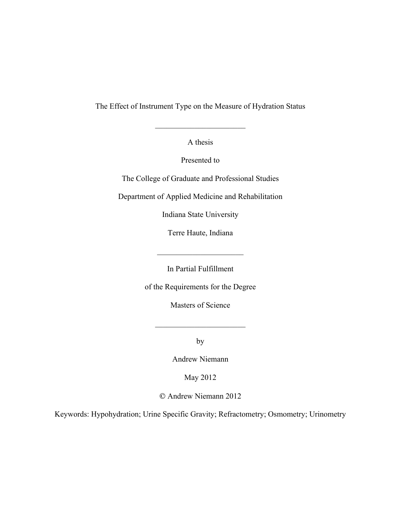The Effect of Instrument Type on the Measure of Hydration Status

A thesis

 $\mathcal{L}_\text{max}$  , where  $\mathcal{L}_\text{max}$  , we have the set of  $\mathcal{L}_\text{max}$ 

Presented to

The College of Graduate and Professional Studies

Department of Applied Medicine and Rehabilitation

Indiana State University

Terre Haute, Indiana

In Partial Fulfillment

 $\mathcal{L}_\text{max}$  , where  $\mathcal{L}_\text{max}$  , we have the set of  $\mathcal{L}_\text{max}$ 

of the Requirements for the Degree

Masters of Science

 $\sim$   $\sim$   $\sim$   $\sim$ 

by

Andrew Niemann

May 2012

Andrew Niemann 2012

Keywords: Hypohydration; Urine Specific Gravity; Refractometry; Osmometry; Urinometry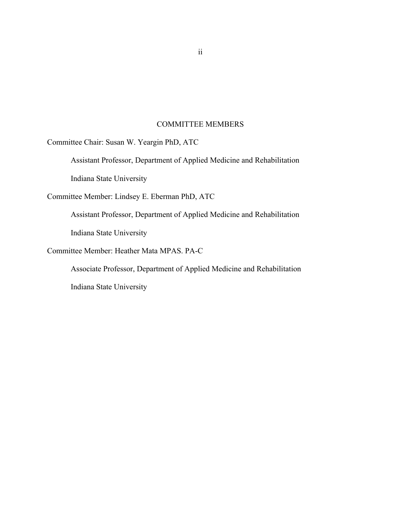# COMMITTEE MEMBERS

Committee Chair: Susan W. Yeargin PhD, ATC

Assistant Professor, Department of Applied Medicine and Rehabilitation Indiana State University

Committee Member: Lindsey E. Eberman PhD, ATC

Assistant Professor, Department of Applied Medicine and Rehabilitation Indiana State University

Committee Member: Heather Mata MPAS. PA-C

Associate Professor, Department of Applied Medicine and Rehabilitation

Indiana State University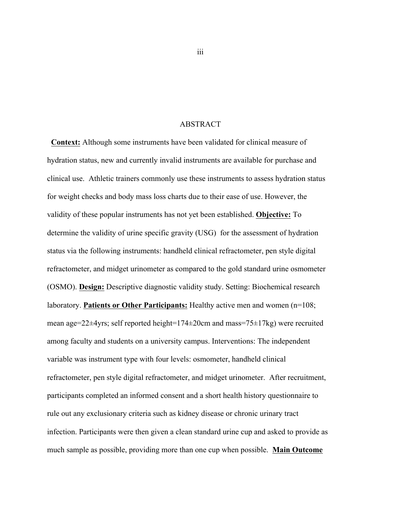## ABSTRACT

**Context:** Although some instruments have been validated for clinical measure of hydration status, new and currently invalid instruments are available for purchase and clinical use. Athletic trainers commonly use these instruments to assess hydration status for weight checks and body mass loss charts due to their ease of use. However, the validity of these popular instruments has not yet been established. **Objective:** To determine the validity of urine specific gravity (USG) for the assessment of hydration status via the following instruments: handheld clinical refractometer, pen style digital refractometer, and midget urinometer as compared to the gold standard urine osmometer (OSMO). **Design:** Descriptive diagnostic validity study. Setting: Biochemical research laboratory. **Patients or Other Participants:** Healthy active men and women (n=108; mean age=22 $\pm$ 4yrs; self reported height=174 $\pm$ 20cm and mass=75 $\pm$ 17kg) were recruited among faculty and students on a university campus. Interventions: The independent variable was instrument type with four levels: osmometer, handheld clinical refractometer, pen style digital refractometer, and midget urinometer. After recruitment, participants completed an informed consent and a short health history questionnaire to rule out any exclusionary criteria such as kidney disease or chronic urinary tract infection. Participants were then given a clean standard urine cup and asked to provide as much sample as possible, providing more than one cup when possible. **Main Outcome**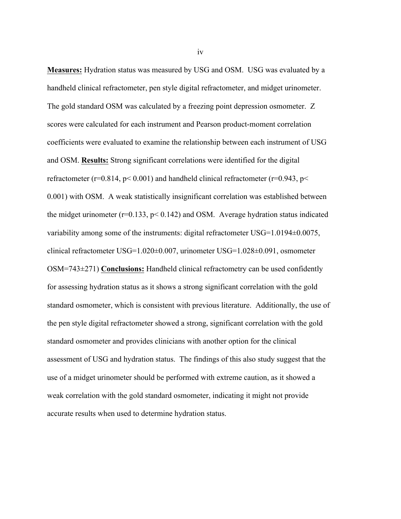**Measures:** Hydration status was measured by USG and OSM. USG was evaluated by a handheld clinical refractometer, pen style digital refractometer, and midget urinometer. The gold standard OSM was calculated by a freezing point depression osmometer. Z scores were calculated for each instrument and Pearson product-moment correlation coefficients were evaluated to examine the relationship between each instrument of USG and OSM. **Results:** Strong significant correlations were identified for the digital refractometer ( $r=0.814$ ,  $p< 0.001$ ) and handheld clinical refractometer ( $r=0.943$ ,  $p<$ 0.001) with OSM. A weak statistically insignificant correlation was established between the midget urinometer ( $r=0.133$ ,  $p< 0.142$ ) and OSM. Average hydration status indicated variability among some of the instruments: digital refractometer USG=1.0194±0.0075, clinical refractometer USG=1.020±0.007, urinometer USG=1.028±0.091, osmometer OSM=743±271) **Conclusions:** Handheld clinical refractometry can be used confidently for assessing hydration status as it shows a strong significant correlation with the gold standard osmometer, which is consistent with previous literature. Additionally, the use of the pen style digital refractometer showed a strong, significant correlation with the gold standard osmometer and provides clinicians with another option for the clinical assessment of USG and hydration status. The findings of this also study suggest that the use of a midget urinometer should be performed with extreme caution, as it showed a weak correlation with the gold standard osmometer, indicating it might not provide accurate results when used to determine hydration status.

iv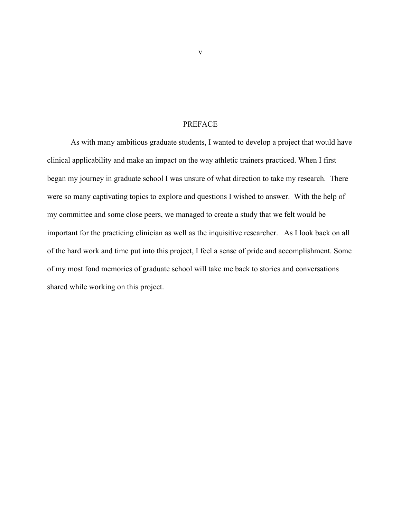## PREFACE

As with many ambitious graduate students, I wanted to develop a project that would have clinical applicability and make an impact on the way athletic trainers practiced. When I first began my journey in graduate school I was unsure of what direction to take my research. There were so many captivating topics to explore and questions I wished to answer. With the help of my committee and some close peers, we managed to create a study that we felt would be important for the practicing clinician as well as the inquisitive researcher. As I look back on all of the hard work and time put into this project, I feel a sense of pride and accomplishment. Some of my most fond memories of graduate school will take me back to stories and conversations shared while working on this project.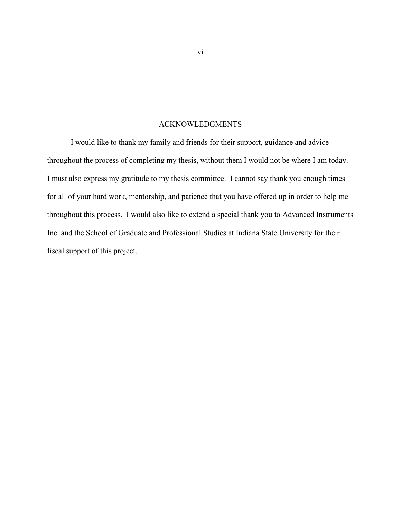## ACKNOWLEDGMENTS

I would like to thank my family and friends for their support, guidance and advice throughout the process of completing my thesis, without them I would not be where I am today. I must also express my gratitude to my thesis committee. I cannot say thank you enough times for all of your hard work, mentorship, and patience that you have offered up in order to help me throughout this process. I would also like to extend a special thank you to Advanced Instruments Inc. and the School of Graduate and Professional Studies at Indiana State University for their fiscal support of this project.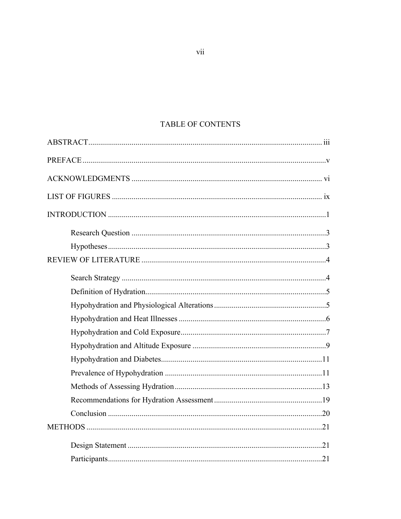# TABLE OF CONTENTS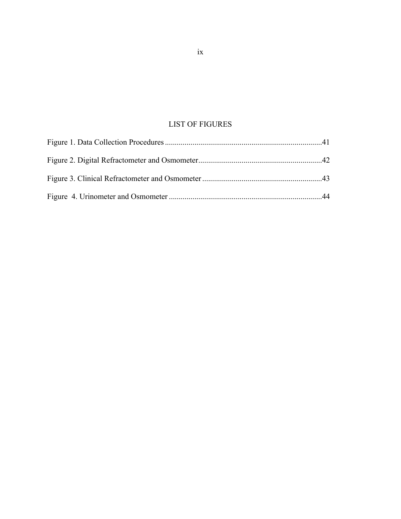# LIST OF FIGURES

ix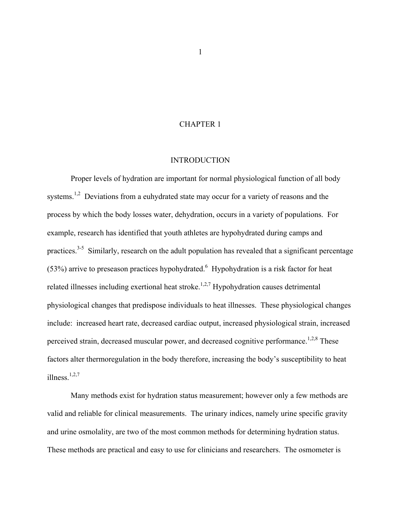## CHAPTER 1

#### INTRODUCTION

Proper levels of hydration are important for normal physiological function of all body systems.<sup>1,2</sup> Deviations from a euhydrated state may occur for a variety of reasons and the process by which the body losses water, dehydration, occurs in a variety of populations. For example, research has identified that youth athletes are hypohydrated during camps and practices.<sup>3-5</sup> Similarly, research on the adult population has revealed that a significant percentage  $(53%)$  arrive to preseason practices hypohydrated.<sup>6</sup> Hypohydration is a risk factor for heat related illnesses including exertional heat stroke.<sup>1,2,7</sup> Hypohydration causes detrimental physiological changes that predispose individuals to heat illnesses. These physiological changes include: increased heart rate, decreased cardiac output, increased physiological strain, increased perceived strain, decreased muscular power, and decreased cognitive performance.<sup>1,2,8</sup> These factors alter thermoregulation in the body therefore, increasing the body's susceptibility to heat illness. 1,2,7

Many methods exist for hydration status measurement; however only a few methods are valid and reliable for clinical measurements. The urinary indices, namely urine specific gravity and urine osmolality, are two of the most common methods for determining hydration status. These methods are practical and easy to use for clinicians and researchers. The osmometer is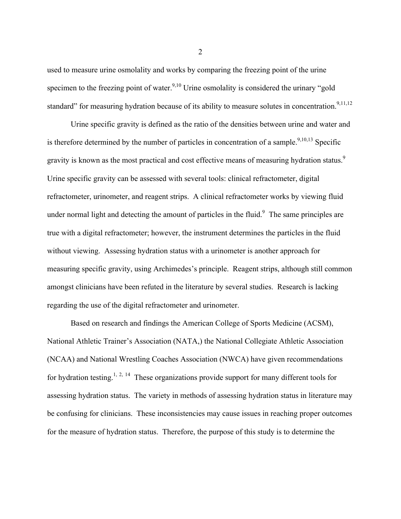used to measure urine osmolality and works by comparing the freezing point of the urine specimen to the freezing point of water.<sup>9,10</sup> Urine osmolality is considered the urinary "gold" standard" for measuring hydration because of its ability to measure solutes in concentration.<sup>9,11,12</sup>

Urine specific gravity is defined as the ratio of the densities between urine and water and is therefore determined by the number of particles in concentration of a sample.<sup>9,10,13</sup> Specific gravity is known as the most practical and cost effective means of measuring hydration status.<sup>9</sup> Urine specific gravity can be assessed with several tools: clinical refractometer, digital refractometer, urinometer, and reagent strips. A clinical refractometer works by viewing fluid under normal light and detecting the amount of particles in the fluid. $\degree$  The same principles are true with a digital refractometer; however, the instrument determines the particles in the fluid without viewing. Assessing hydration status with a urinometer is another approach for measuring specific gravity, using Archimedes's principle. Reagent strips, although still common amongst clinicians have been refuted in the literature by several studies. Research is lacking regarding the use of the digital refractometer and urinometer.

Based on research and findings the American College of Sports Medicine (ACSM), National Athletic Trainer's Association (NATA,) the National Collegiate Athletic Association (NCAA) and National Wrestling Coaches Association (NWCA) have given recommendations for hydration testing.<sup>1, 2, 14</sup> These organizations provide support for many different tools for assessing hydration status. The variety in methods of assessing hydration status in literature may be confusing for clinicians. These inconsistencies may cause issues in reaching proper outcomes for the measure of hydration status. Therefore, the purpose of this study is to determine the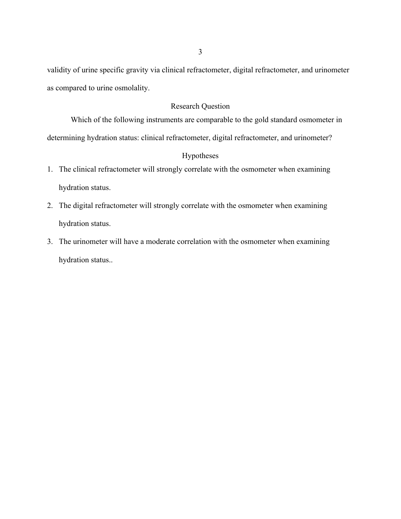validity of urine specific gravity via clinical refractometer, digital refractometer, and urinometer as compared to urine osmolality.

# Research Question

Which of the following instruments are comparable to the gold standard osmometer in determining hydration status: clinical refractometer, digital refractometer, and urinometer?

# Hypotheses

- 1. The clinical refractometer will strongly correlate with the osmometer when examining hydration status.
- 2. The digital refractometer will strongly correlate with the osmometer when examining hydration status.
- 3. The urinometer will have a moderate correlation with the osmometer when examining hydration status..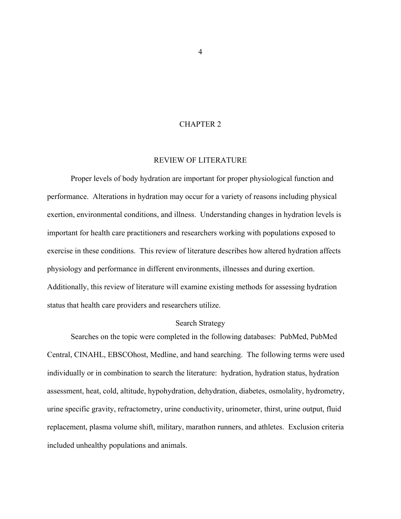## CHAPTER 2

#### REVIEW OF LITERATURE

Proper levels of body hydration are important for proper physiological function and performance. Alterations in hydration may occur for a variety of reasons including physical exertion, environmental conditions, and illness. Understanding changes in hydration levels is important for health care practitioners and researchers working with populations exposed to exercise in these conditions. This review of literature describes how altered hydration affects physiology and performance in different environments, illnesses and during exertion. Additionally, this review of literature will examine existing methods for assessing hydration status that health care providers and researchers utilize.

#### Search Strategy

Searches on the topic were completed in the following databases: PubMed, PubMed Central, CINAHL, EBSCOhost, Medline, and hand searching. The following terms were used individually or in combination to search the literature: hydration, hydration status, hydration assessment, heat, cold, altitude, hypohydration, dehydration, diabetes, osmolality, hydrometry, urine specific gravity, refractometry, urine conductivity, urinometer, thirst, urine output, fluid replacement, plasma volume shift, military, marathon runners, and athletes. Exclusion criteria included unhealthy populations and animals.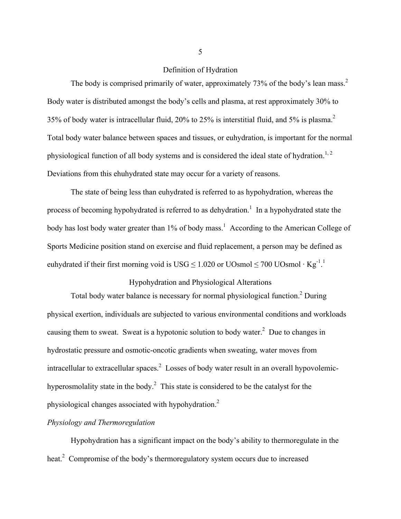## Definition of Hydration

The body is comprised primarily of water, approximately 73% of the body's lean mass.<sup>2</sup> Body water is distributed amongst the body's cells and plasma, at rest approximately 30% to 35% of body water is intracellular fluid, 20% to 25% is interstitial fluid, and 5% is plasma.<sup>2</sup> Total body water balance between spaces and tissues, or euhydration, is important for the normal physiological function of all body systems and is considered the ideal state of hydration.<sup>1, 2</sup> Deviations from this ehuhydrated state may occur for a variety of reasons.

The state of being less than euhydrated is referred to as hypohydration, whereas the process of becoming hypohydrated is referred to as dehydration.<sup>1</sup> In a hypohydrated state the body has lost body water greater than 1% of body mass.<sup>1</sup> According to the American College of Sports Medicine position stand on exercise and fluid replacement, a person may be defined as euhydrated if their first morning void is USG  $\leq 1.020$  or UOsmol  $\leq 700$  UOsmol · Kg<sup>-1</sup>.

# Hypohydration and Physiological Alterations

Total body water balance is necessary for normal physiological function.<sup>2</sup> During physical exertion, individuals are subjected to various environmental conditions and workloads causing them to sweat. Sweat is a hypotonic solution to body water.<sup>2</sup> Due to changes in hydrostatic pressure and osmotic-oncotic gradients when sweating, water moves from intracellular to extracellular spaces.<sup>2</sup> Losses of body water result in an overall hypovolemichyperosmolality state in the body.<sup>2</sup> This state is considered to be the catalyst for the physiological changes associated with hypohydration.<sup>2</sup>

# *Physiology and Thermoregulation*

Hypohydration has a significant impact on the body's ability to thermoregulate in the heat.<sup>2</sup> Compromise of the body's thermoregulatory system occurs due to increased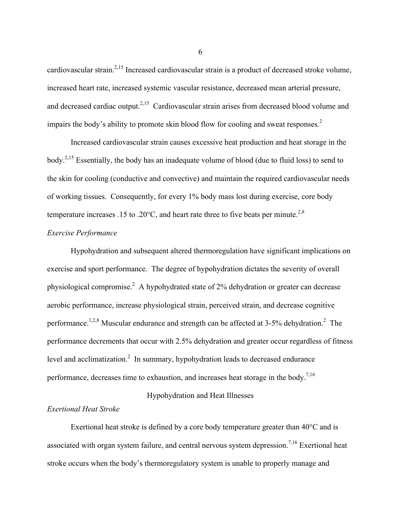cardiovascular strain.<sup>2,15</sup> Increased cardiovascular strain is a product of decreased stroke volume, increased heart rate, increased systemic vascular resistance, decreased mean arterial pressure, and decreased cardiac output.<sup>2,15</sup> Cardiovascular strain arises from decreased blood volume and impairs the body's ability to promote skin blood flow for cooling and sweat responses.<sup>2</sup>

Increased cardiovascular strain causes excessive heat production and heat storage in the body.2,15 Essentially, the body has an inadequate volume of blood (due to fluid loss) to send to the skin for cooling (conductive and convective) and maintain the required cardiovascular needs of working tissues. Consequently, for every 1% body mass lost during exercise, core body temperature increases .15 to .20 $^{\circ}$ C, and heart rate three to five beats per minute.<sup>2,8</sup>

## *Exercise Performance*

Hypohydration and subsequent altered thermoregulation have significant implications on exercise and sport performance. The degree of hypohydration dictates the severity of overall physiological compromise.<sup>2</sup> A hypohydrated state of 2% dehydration or greater can decrease aerobic performance, increase physiological strain, perceived strain, and decrease cognitive performance.<sup>1,2,8</sup> Muscular endurance and strength can be affected at 3-5% dehydration.<sup>2</sup> The performance decrements that occur with 2.5% dehydration and greater occur regardless of fitness level and acclimatization.<sup>2</sup> In summary, hypohydration leads to decreased endurance performance, decreases time to exhaustion, and increases heat storage in the body.<sup>7,16</sup>

## Hypohydration and Heat Illnesses

## *Exertional Heat Stroke*

Exertional heat stroke is defined by a core body temperature greater than 40°C and is associated with organ system failure, and central nervous system depression.<sup>7,16</sup> Exertional heat stroke occurs when the body's thermoregulatory system is unable to properly manage and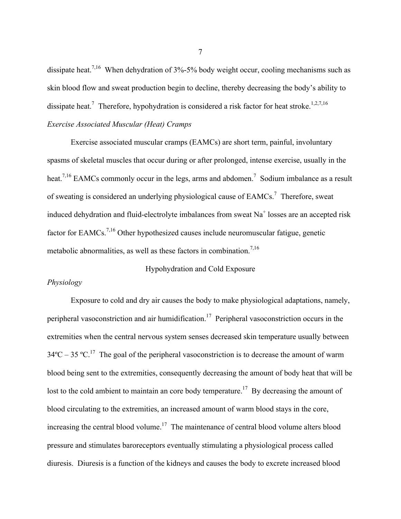dissipate heat.<sup>7,16</sup> When dehydration of  $3\%$ -5% body weight occur, cooling mechanisms such as skin blood flow and sweat production begin to decline, thereby decreasing the body's ability to dissipate heat.<sup>7</sup> Therefore, hypohydration is considered a risk factor for heat stroke.<sup>1,2,7,16</sup> *Exercise Associated Muscular (Heat) Cramps*

Exercise associated muscular cramps (EAMCs) are short term, painful, involuntary spasms of skeletal muscles that occur during or after prolonged, intense exercise, usually in the heat.<sup>7,16</sup> EAMCs commonly occur in the legs, arms and abdomen.<sup>7</sup> Sodium imbalance as a result of sweating is considered an underlying physiological cause of  $EAMCs$ .<sup>7</sup> Therefore, sweat induced dehydration and fluid-electrolyte imbalances from sweat Na<sup>+</sup> losses are an accepted risk factor for EAMCs.7,16 Other hypothesized causes include neuromuscular fatigue, genetic metabolic abnormalities, as well as these factors in combination.<sup>7,16</sup>

#### Hypohydration and Cold Exposure

## *Physiology*

Exposure to cold and dry air causes the body to make physiological adaptations, namely, peripheral vasoconstriction and air humidification.<sup>17</sup> Peripheral vasoconstriction occurs in the extremities when the central nervous system senses decreased skin temperature usually between  $34^{\circ}\text{C} - 35^{\circ}\text{C}$ .<sup>17</sup> The goal of the peripheral vasoconstriction is to decrease the amount of warm blood being sent to the extremities, consequently decreasing the amount of body heat that will be lost to the cold ambient to maintain an core body temperature.<sup>17</sup> By decreasing the amount of blood circulating to the extremities, an increased amount of warm blood stays in the core, increasing the central blood volume.<sup>17</sup> The maintenance of central blood volume alters blood pressure and stimulates baroreceptors eventually stimulating a physiological process called diuresis. Diuresis is a function of the kidneys and causes the body to excrete increased blood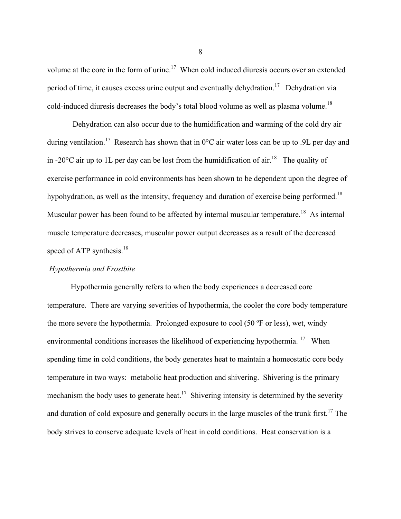volume at the core in the form of urine.<sup>17</sup> When cold induced diuresis occurs over an extended period of time, it causes excess urine output and eventually dehydration.<sup>17</sup> Dehydration via cold-induced diuresis decreases the body's total blood volume as well as plasma volume.<sup>18</sup>

Dehydration can also occur due to the humidification and warming of the cold dry air during ventilation.<sup>17</sup> Research has shown that in  $0^{\circ}$ C air water loss can be up to .9L per day and in -20 $^{\circ}$ C air up to 1L per day can be lost from the humidification of air.<sup>18</sup> The quality of exercise performance in cold environments has been shown to be dependent upon the degree of hypohydration, as well as the intensity, frequency and duration of exercise being performed.<sup>18</sup> Muscular power has been found to be affected by internal muscular temperature.<sup>18</sup> As internal muscle temperature decreases, muscular power output decreases as a result of the decreased speed of ATP synthesis. $18$ 

#### *Hypothermia and Frostbite*

Hypothermia generally refers to when the body experiences a decreased core temperature. There are varying severities of hypothermia, the cooler the core body temperature the more severe the hypothermia. Prolonged exposure to cool (50 ºF or less), wet, windy environmental conditions increases the likelihood of experiencing hypothermia.<sup>17</sup> When spending time in cold conditions, the body generates heat to maintain a homeostatic core body temperature in two ways: metabolic heat production and shivering. Shivering is the primary mechanism the body uses to generate heat.<sup>17</sup> Shivering intensity is determined by the severity and duration of cold exposure and generally occurs in the large muscles of the trunk first.<sup>17</sup> The body strives to conserve adequate levels of heat in cold conditions. Heat conservation is a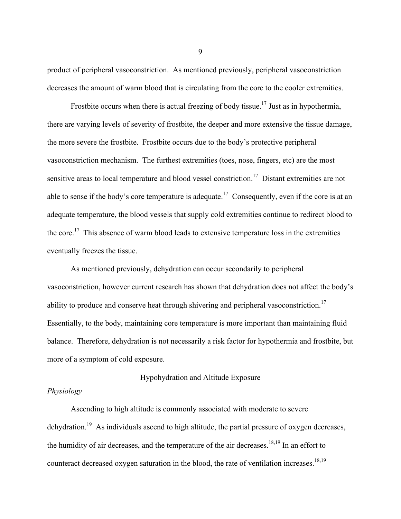product of peripheral vasoconstriction. As mentioned previously, peripheral vasoconstriction decreases the amount of warm blood that is circulating from the core to the cooler extremities.

Frostbite occurs when there is actual freezing of body tissue.<sup>17</sup> Just as in hypothermia, there are varying levels of severity of frostbite, the deeper and more extensive the tissue damage, the more severe the frostbite. Frostbite occurs due to the body's protective peripheral vasoconstriction mechanism. The furthest extremities (toes, nose, fingers, etc) are the most sensitive areas to local temperature and blood vessel constriction.<sup>17</sup> Distant extremities are not able to sense if the body's core temperature is adequate.<sup>17</sup> Consequently, even if the core is at an adequate temperature, the blood vessels that supply cold extremities continue to redirect blood to the core.<sup>17</sup> This absence of warm blood leads to extensive temperature loss in the extremities eventually freezes the tissue.

As mentioned previously, dehydration can occur secondarily to peripheral vasoconstriction, however current research has shown that dehydration does not affect the body's ability to produce and conserve heat through shivering and peripheral vasoconstriction.<sup>17</sup> Essentially, to the body, maintaining core temperature is more important than maintaining fluid balance. Therefore, dehydration is not necessarily a risk factor for hypothermia and frostbite, but more of a symptom of cold exposure.

#### Hypohydration and Altitude Exposure

## *Physiology*

Ascending to high altitude is commonly associated with moderate to severe dehydration.<sup>19</sup> As individuals ascend to high altitude, the partial pressure of oxygen decreases, the humidity of air decreases, and the temperature of the air decreases.<sup>18,19</sup> In an effort to counteract decreased oxygen saturation in the blood, the rate of ventilation increases.<sup>18,19</sup>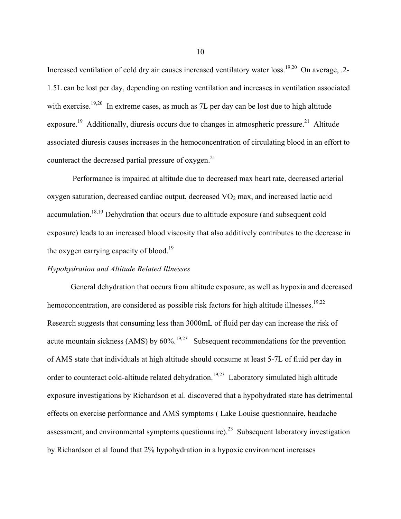Increased ventilation of cold dry air causes increased ventilatory water loss.<sup>19,20</sup> On average, .2-1.5L can be lost per day, depending on resting ventilation and increases in ventilation associated with exercise.<sup>19,20</sup> In extreme cases, as much as 7L per day can be lost due to high altitude exposure.<sup>19</sup> Additionally, diuresis occurs due to changes in atmospheric pressure.<sup>21</sup> Altitude associated diuresis causes increases in the hemoconcentration of circulating blood in an effort to counteract the decreased partial pressure of oxygen.<sup>21</sup>

Performance is impaired at altitude due to decreased max heart rate, decreased arterial oxygen saturation, decreased cardiac output, decreased  $VO<sub>2</sub>$  max, and increased lactic acid accumulation.<sup>18,19</sup> Dehydration that occurs due to altitude exposure (and subsequent cold exposure) leads to an increased blood viscosity that also additively contributes to the decrease in the oxygen carrying capacity of blood.<sup>19</sup>

#### *Hypohydration and Altitude Related Illnesses*

General dehydration that occurs from altitude exposure, as well as hypoxia and decreased hemoconcentration, are considered as possible risk factors for high altitude illnesses.<sup>19,22</sup> Research suggests that consuming less than 3000mL of fluid per day can increase the risk of acute mountain sickness (AMS) by  $60\%$ .<sup>19,23</sup> Subsequent recommendations for the prevention of AMS state that individuals at high altitude should consume at least 5-7L of fluid per day in order to counteract cold-altitude related dehydration.<sup>19,23</sup> Laboratory simulated high altitude exposure investigations by Richardson et al. discovered that a hypohydrated state has detrimental effects on exercise performance and AMS symptoms ( Lake Louise questionnaire, headache assessment, and environmental symptoms questionnaire).<sup>23</sup> Subsequent laboratory investigation by Richardson et al found that 2% hypohydration in a hypoxic environment increases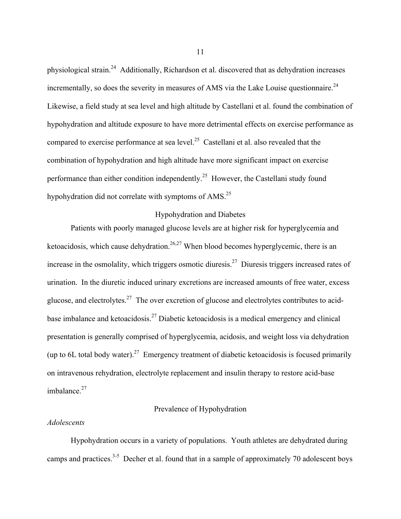physiological strain.24 Additionally, Richardson et al. discovered that as dehydration increases incrementally, so does the severity in measures of AMS via the Lake Louise questionnaire.<sup>24</sup> Likewise, a field study at sea level and high altitude by Castellani et al. found the combination of hypohydration and altitude exposure to have more detrimental effects on exercise performance as compared to exercise performance at sea level.<sup>25</sup> Castellani et al. also revealed that the combination of hypohydration and high altitude have more significant impact on exercise performance than either condition independently.25 However, the Castellani study found hypohydration did not correlate with symptoms of AMS.<sup>25</sup>

# Hypohydration and Diabetes

Patients with poorly managed glucose levels are at higher risk for hyperglycemia and ketoacidosis, which cause dehydration.<sup>26,27</sup> When blood becomes hyperglycemic, there is an increase in the osmolality, which triggers osmotic diuresis.<sup>27</sup> Diuresis triggers increased rates of urination. In the diuretic induced urinary excretions are increased amounts of free water, excess glucose, and electrolytes.<sup>27</sup> The over excretion of glucose and electrolytes contributes to acidbase imbalance and ketoacidosis.<sup>27</sup> Diabetic ketoacidosis is a medical emergency and clinical presentation is generally comprised of hyperglycemia, acidosis, and weight loss via dehydration (up to 6L total body water).<sup>27</sup> Emergency treatment of diabetic ketoacidosis is focused primarily on intravenous rehydration, electrolyte replacement and insulin therapy to restore acid-base imbalance.<sup>27</sup>

# Prevalence of Hypohydration

#### *Adolescents*

Hypohydration occurs in a variety of populations. Youth athletes are dehydrated during camps and practices.<sup>3-5</sup> Decher et al. found that in a sample of approximately 70 adolescent boys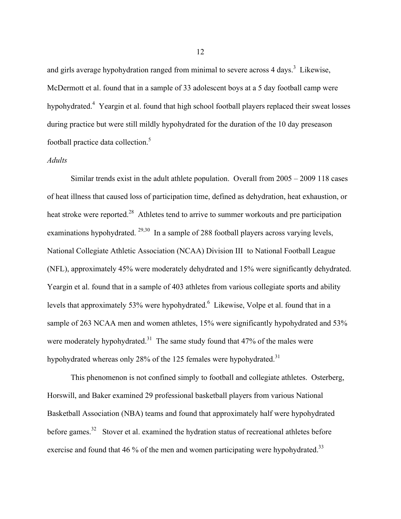and girls average hypohydration ranged from minimal to severe across 4 days.<sup>3</sup> Likewise, McDermott et al. found that in a sample of 33 adolescent boys at a 5 day football camp were hypohydrated.<sup>4</sup> Yeargin et al. found that high school football players replaced their sweat losses during practice but were still mildly hypohydrated for the duration of the 10 day preseason football practice data collection.<sup>5</sup>

## *Adults*

Similar trends exist in the adult athlete population. Overall from 2005 – 2009 118 cases of heat illness that caused loss of participation time, defined as dehydration, heat exhaustion, or heat stroke were reported.<sup>28</sup> Athletes tend to arrive to summer workouts and pre participation examinations hypohydrated.  $29,30$  In a sample of 288 football players across varying levels, National Collegiate Athletic Association (NCAA) Division III to National Football League (NFL), approximately 45% were moderately dehydrated and 15% were significantly dehydrated. Yeargin et al. found that in a sample of 403 athletes from various collegiate sports and ability levels that approximately 53% were hypohydrated. <sup>6</sup> Likewise, Volpe et al. found that in a sample of 263 NCAA men and women athletes, 15% were significantly hypohydrated and 53% were moderately hypohydrated.<sup>31</sup> The same study found that  $47\%$  of the males were hypohydrated whereas only 28% of the 125 females were hypohydrated.<sup>31</sup>

This phenomenon is not confined simply to football and collegiate athletes. Osterberg, Horswill, and Baker examined 29 professional basketball players from various National Basketball Association (NBA) teams and found that approximately half were hypohydrated before games.<sup>32</sup> Stover et al. examined the hydration status of recreational athletes before exercise and found that 46 % of the men and women participating were hypohydrated.<sup>33</sup>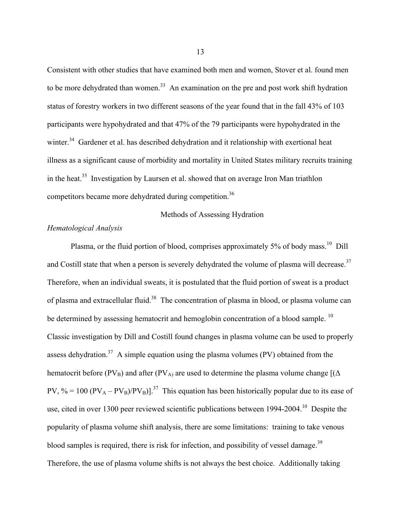Consistent with other studies that have examined both men and women, Stover et al. found men to be more dehydrated than women.<sup>33</sup> An examination on the pre and post work shift hydration status of forestry workers in two different seasons of the year found that in the fall 43% of 103 participants were hypohydrated and that 47% of the 79 participants were hypohydrated in the winter.<sup>34</sup> Gardener et al. has described dehydration and it relationship with exertional heat illness as a significant cause of morbidity and mortality in United States military recruits training in the heat.<sup>35</sup> Investigation by Laursen et al. showed that on average Iron Man triathlon competitors became more dehydrated during competition.<sup>36</sup>

Methods of Assessing Hydration

## *Hematological Analysis*

Plasma, or the fluid portion of blood, comprises approximately 5% of body mass.<sup>10</sup> Dill and Costill state that when a person is severely dehydrated the volume of plasma will decrease.<sup>37</sup> Therefore, when an individual sweats, it is postulated that the fluid portion of sweat is a product of plasma and extracellular fluid.<sup>38</sup> The concentration of plasma in blood, or plasma volume can be determined by assessing hematocrit and hemoglobin concentration of a blood sample. <sup>10</sup> Classic investigation by Dill and Costill found changes in plasma volume can be used to properly assess dehydration.<sup>37</sup> A simple equation using the plasma volumes (PV) obtained from the hematocrit before (PV<sub>B</sub>) and after (PV<sub>A)</sub> are used to determine the plasma volume change  $[(\Delta$ PV, % = 100 ( $PV_A - PV_B$ )/ $PV_B$ ].<sup>37</sup> This equation has been historically popular due to its ease of use, cited in over 1300 peer reviewed scientific publications between 1994-2004.<sup>10</sup> Despite the popularity of plasma volume shift analysis, there are some limitations: training to take venous blood samples is required, there is risk for infection, and possibility of vessel damage.<sup>39</sup> Therefore, the use of plasma volume shifts is not always the best choice. Additionally taking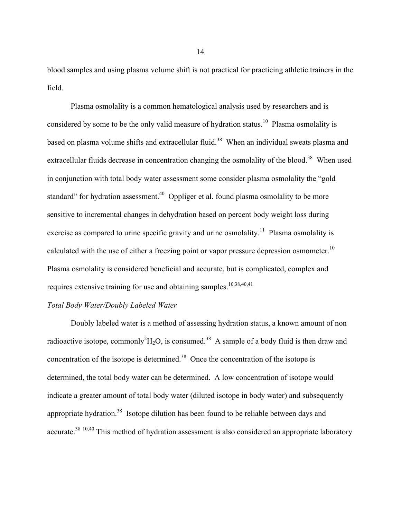blood samples and using plasma volume shift is not practical for practicing athletic trainers in the field.

Plasma osmolality is a common hematological analysis used by researchers and is considered by some to be the only valid measure of hydration status.<sup>10</sup> Plasma osmolality is based on plasma volume shifts and extracellular fluid.<sup>38</sup> When an individual sweats plasma and extracellular fluids decrease in concentration changing the osmolality of the blood.<sup>38</sup> When used in conjunction with total body water assessment some consider plasma osmolality the "gold standard" for hydration assessment.<sup>40</sup> Oppliger et al. found plasma osmolality to be more sensitive to incremental changes in dehydration based on percent body weight loss during exercise as compared to urine specific gravity and urine osmolality.<sup>11</sup> Plasma osmolality is calculated with the use of either a freezing point or vapor pressure depression osmometer.<sup>10</sup> Plasma osmolality is considered beneficial and accurate, but is complicated, complex and requires extensive training for use and obtaining samples.<sup>10,38,40,41</sup>

#### *Total Body Water/Doubly Labeled Water*

Doubly labeled water is a method of assessing hydration status, a known amount of non radioactive isotope, commonly<sup>2</sup> $H_2O$ , is consumed.<sup>38</sup> A sample of a body fluid is then draw and concentration of the isotope is determined.<sup>38</sup> Once the concentration of the isotope is determined, the total body water can be determined. A low concentration of isotope would indicate a greater amount of total body water (diluted isotope in body water) and subsequently appropriate hydration.<sup>38</sup> Isotope dilution has been found to be reliable between days and accurate.<sup>38 10,40</sup> This method of hydration assessment is also considered an appropriate laboratory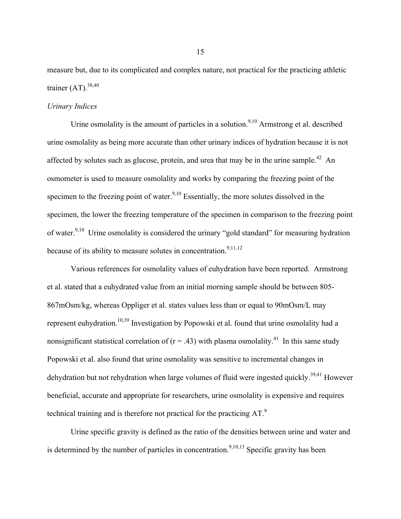measure but, due to its complicated and complex nature, not practical for the practicing athletic trainer  $(AT)$ .<sup>38,40</sup>

# *Urinary Indices*

Urine osmolality is the amount of particles in a solution.<sup>9,10</sup> Armstrong et al. described urine osmolality as being more accurate than other urinary indices of hydration because it is not affected by solutes such as glucose, protein, and urea that may be in the urine sample.<sup>42</sup> An osmometer is used to measure osmolality and works by comparing the freezing point of the specimen to the freezing point of water.<sup>9,10</sup> Essentially, the more solutes dissolved in the specimen, the lower the freezing temperature of the specimen in comparison to the freezing point of water.<sup>9,10</sup> Urine osmolality is considered the urinary "gold standard" for measuring hydration because of its ability to measure solutes in concentration.<sup>9,11,12</sup>

Various references for osmolality values of euhydration have been reported. Armstrong et al. stated that a euhydrated value from an initial morning sample should be between 805- 867mOsm/kg, whereas Oppliger et al. states values less than or equal to 90mOsm/L may represent euhydration.10,39 Investigation by Popowski et al. found that urine osmolality had a nonsignificant statistical correlation of  $(r = .43)$  with plasma osmolality.<sup>41</sup> In this same study Popowski et al. also found that urine osmolality was sensitive to incremental changes in dehydration but not rehydration when large volumes of fluid were ingested quickly.<sup>39,41</sup> However beneficial, accurate and appropriate for researchers, urine osmolality is expensive and requires technical training and is therefore not practical for the practicing  $AT<sup>9</sup>$ .

Urine specific gravity is defined as the ratio of the densities between urine and water and is determined by the number of particles in concentration.<sup>9,10,13</sup> Specific gravity has been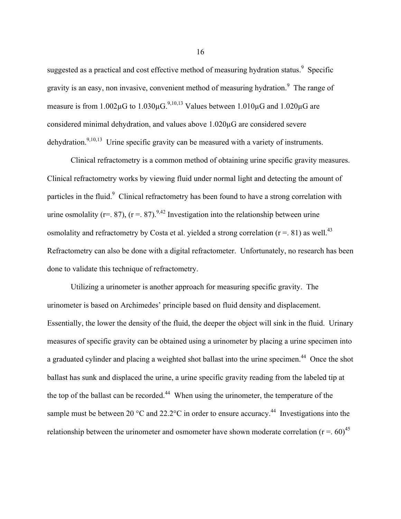suggested as a practical and cost effective method of measuring hydration status. $9$  Specific gravity is an easy, non invasive, convenient method of measuring hydration.<sup>9</sup> The range of measure is from  $1.002\mu$ G to  $1.030\mu$ G.<sup>9,10,13</sup> Values between  $1.010\mu$ G and  $1.020\mu$ G are considered minimal dehydration, and values above 1.020µG are considered severe dehydration.<sup>9,10,13</sup> Urine specific gravity can be measured with a variety of instruments.

Clinical refractometry is a common method of obtaining urine specific gravity measures. Clinical refractometry works by viewing fluid under normal light and detecting the amount of particles in the fluid.<sup>9</sup> Clinical refractometry has been found to have a strong correlation with urine osmolality (r=. 87), (r =. 87).<sup>9,42</sup> Investigation into the relationship between urine osmolality and refractometry by Costa et al. yielded a strong correlation ( $r = 0.81$ ) as well.<sup>43</sup> Refractometry can also be done with a digital refractometer. Unfortunately, no research has been done to validate this technique of refractometry.

Utilizing a urinometer is another approach for measuring specific gravity. The urinometer is based on Archimedes' principle based on fluid density and displacement. Essentially, the lower the density of the fluid, the deeper the object will sink in the fluid. Urinary measures of specific gravity can be obtained using a urinometer by placing a urine specimen into a graduated cylinder and placing a weighted shot ballast into the urine specimen.<sup>44</sup> Once the shot ballast has sunk and displaced the urine, a urine specific gravity reading from the labeled tip at the top of the ballast can be recorded.<sup>44</sup> When using the urinometer, the temperature of the sample must be between 20  $^{\circ}$ C and 22.2 $^{\circ}$ C in order to ensure accuracy.<sup>44</sup> Investigations into the relationship between the urinometer and osmometer have shown moderate correlation ( $r = .60$ )<sup>45</sup>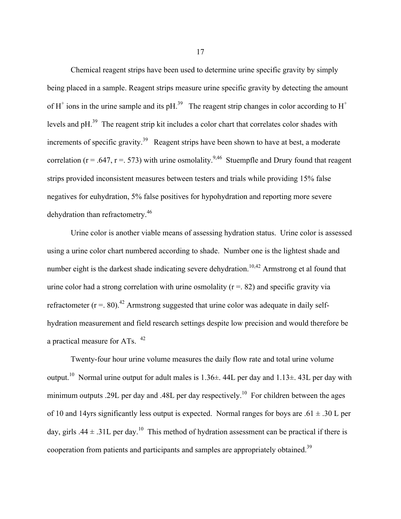Chemical reagent strips have been used to determine urine specific gravity by simply being placed in a sample. Reagent strips measure urine specific gravity by detecting the amount of H<sup>+</sup> ions in the urine sample and its pH.<sup>39</sup> The reagent strip changes in color according to  $H^+$ levels and pH.39 The reagent strip kit includes a color chart that correlates color shades with increments of specific gravity.<sup>39</sup> Reagent strips have been shown to have at best, a moderate correlation ( $r = .647$ ,  $r = .573$ ) with urine osmolality.<sup>9,46</sup> Stuempfle and Drury found that reagent strips provided inconsistent measures between testers and trials while providing 15% false negatives for euhydration, 5% false positives for hypohydration and reporting more severe dehydration than refractometry.46

Urine color is another viable means of assessing hydration status. Urine color is assessed using a urine color chart numbered according to shade. Number one is the lightest shade and number eight is the darkest shade indicating severe dehydration.<sup>10,42</sup> Armstrong et al found that urine color had a strong correlation with urine osmolality  $(r = 0.82)$  and specific gravity via refractometer ( $r = 0.80$ ).<sup>42</sup> Armstrong suggested that urine color was adequate in daily selfhydration measurement and field research settings despite low precision and would therefore be a practical measure for ATs. 42

Twenty-four hour urine volume measures the daily flow rate and total urine volume output.<sup>10</sup> Normal urine output for adult males is  $1.36\pm$ . 44L per day and  $1.13\pm$ . 43L per day with minimum outputs .29L per day and .48L per day respectively.<sup>10</sup> For children between the ages of 10 and 14yrs significantly less output is expected. Normal ranges for boys are .61  $\pm$  .30 L per day, girls .44  $\pm$  .31L per day.<sup>10</sup> This method of hydration assessment can be practical if there is cooperation from patients and participants and samples are appropriately obtained.<sup>39</sup>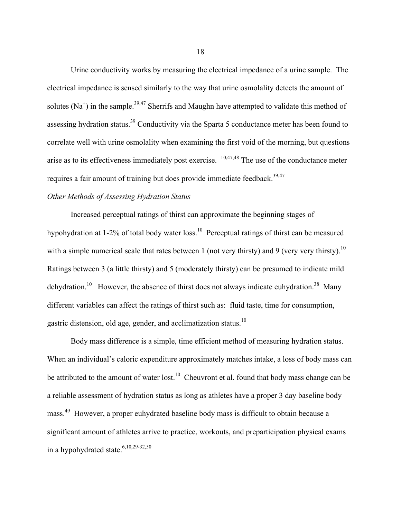Urine conductivity works by measuring the electrical impedance of a urine sample. The electrical impedance is sensed similarly to the way that urine osmolality detects the amount of solutes (Na<sup>+</sup>) in the sample.<sup>39,47</sup> Sherrifs and Maughn have attempted to validate this method of assessing hydration status.<sup>39</sup> Conductivity via the Sparta 5 conductance meter has been found to correlate well with urine osmolality when examining the first void of the morning, but questions arise as to its effectiveness immediately post exercise. 10,47,48 The use of the conductance meter requires a fair amount of training but does provide immediate feedback.<sup>39,47</sup>

# *Other Methods of Assessing Hydration Status*

Increased perceptual ratings of thirst can approximate the beginning stages of hypohydration at 1-2% of total body water loss.<sup>10</sup> Perceptual ratings of thirst can be measured with a simple numerical scale that rates between 1 (not very thirsty) and 9 (very very thirsty).<sup>10</sup> Ratings between 3 (a little thirsty) and 5 (moderately thirsty) can be presumed to indicate mild dehydration.<sup>10</sup> However, the absence of thirst does not always indicate euhydration.<sup>38</sup> Many different variables can affect the ratings of thirst such as: fluid taste, time for consumption, gastric distension, old age, gender, and acclimatization status.10

Body mass difference is a simple, time efficient method of measuring hydration status. When an individual's caloric expenditure approximately matches intake, a loss of body mass can be attributed to the amount of water lost.<sup>10</sup> Cheuvront et al. found that body mass change can be a reliable assessment of hydration status as long as athletes have a proper 3 day baseline body mass.49 However, a proper euhydrated baseline body mass is difficult to obtain because a significant amount of athletes arrive to practice, workouts, and preparticipation physical exams in a hypohydrated state.<sup>6,10,29-32,50</sup>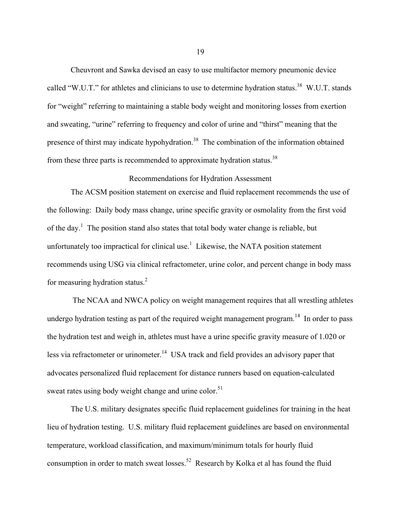Cheuvront and Sawka devised an easy to use multifactor memory pneumonic device called "W.U.T." for athletes and clinicians to use to determine hydration status.<sup>38</sup> W.U.T. stands for "weight" referring to maintaining a stable body weight and monitoring losses from exertion and sweating, "urine" referring to frequency and color of urine and "thirst" meaning that the presence of thirst may indicate hypohydration.<sup>38</sup> The combination of the information obtained from these three parts is recommended to approximate hydration status.<sup>38</sup>

# Recommendations for Hydration Assessment

The ACSM position statement on exercise and fluid replacement recommends the use of the following: Daily body mass change, urine specific gravity or osmolality from the first void of the day.<sup>1</sup> The position stand also states that total body water change is reliable, but unfortunately too impractical for clinical use.<sup>1</sup> Likewise, the NATA position statement recommends using USG via clinical refractometer, urine color, and percent change in body mass for measuring hydration status.<sup>2</sup>

The NCAA and NWCA policy on weight management requires that all wrestling athletes undergo hydration testing as part of the required weight management program.<sup>14</sup> In order to pass the hydration test and weigh in, athletes must have a urine specific gravity measure of 1.020 or less via refractometer or urinometer.<sup>14</sup> USA track and field provides an advisory paper that advocates personalized fluid replacement for distance runners based on equation-calculated sweat rates using body weight change and urine color.<sup>51</sup>

The U.S. military designates specific fluid replacement guidelines for training in the heat lieu of hydration testing. U.S. military fluid replacement guidelines are based on environmental temperature, workload classification, and maximum/minimum totals for hourly fluid consumption in order to match sweat losses.<sup>52</sup> Research by Kolka et al has found the fluid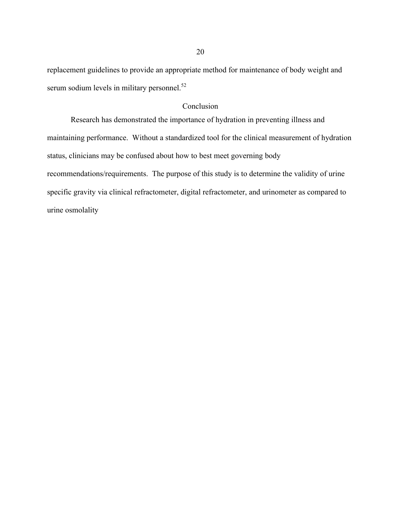replacement guidelines to provide an appropriate method for maintenance of body weight and serum sodium levels in military personnel.<sup>52</sup>

# Conclusion

Research has demonstrated the importance of hydration in preventing illness and maintaining performance. Without a standardized tool for the clinical measurement of hydration status, clinicians may be confused about how to best meet governing body recommendations/requirements. The purpose of this study is to determine the validity of urine specific gravity via clinical refractometer, digital refractometer, and urinometer as compared to urine osmolality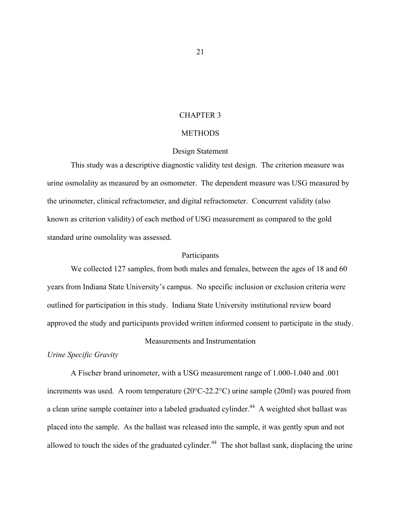#### CHAPTER 3

#### **METHODS**

## Design Statement

This study was a descriptive diagnostic validity test design. The criterion measure was urine osmolality as measured by an osmometer. The dependent measure was USG measured by the urinometer, clinical refractometer, and digital refractometer. Concurrent validity (also known as criterion validity) of each method of USG measurement as compared to the gold standard urine osmolality was assessed.

### Participants

We collected 127 samples, from both males and females, between the ages of 18 and 60 years from Indiana State University's campus. No specific inclusion or exclusion criteria were outlined for participation in this study. Indiana State University institutional review board approved the study and participants provided written informed consent to participate in the study.

#### Measurements and Instrumentation

## *Urine Specific Gravity*

A Fischer brand urinometer, with a USG measurement range of 1.000-1.040 and .001 increments was used. A room temperature (20°C-22.2°C) urine sample (20ml) was poured from a clean urine sample container into a labeled graduated cylinder.<sup>44</sup> A weighted shot ballast was placed into the sample. As the ballast was released into the sample, it was gently spun and not allowed to touch the sides of the graduated cylinder.<sup>44</sup> The shot ballast sank, displacing the urine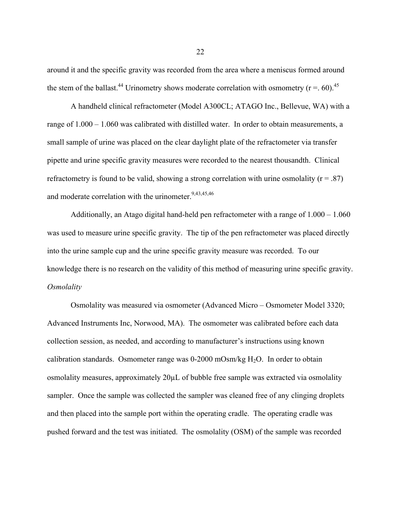around it and the specific gravity was recorded from the area where a meniscus formed around the stem of the ballast.<sup>44</sup> Urinometry shows moderate correlation with osmometry ( $r = 0.60$ ).<sup>45</sup>

A handheld clinical refractometer (Model A300CL; ATAGO Inc., Bellevue, WA) with a range of 1.000 – 1.060 was calibrated with distilled water. In order to obtain measurements, a small sample of urine was placed on the clear daylight plate of the refractometer via transfer pipette and urine specific gravity measures were recorded to the nearest thousandth. Clinical refractometry is found to be valid, showing a strong correlation with urine osmolality ( $r = .87$ ) and moderate correlation with the urinometer.<sup>9,43,45,46</sup>

Additionally, an Atago digital hand-held pen refractometer with a range of 1.000 – 1.060 was used to measure urine specific gravity. The tip of the pen refractometer was placed directly into the urine sample cup and the urine specific gravity measure was recorded. To our knowledge there is no research on the validity of this method of measuring urine specific gravity. *Osmolality*

Osmolality was measured via osmometer (Advanced Micro – Osmometer Model 3320; Advanced Instruments Inc, Norwood, MA). The osmometer was calibrated before each data collection session, as needed, and according to manufacturer's instructions using known calibration standards. Osmometer range was  $0\n-2000$  mOsm/kg H<sub>2</sub>O. In order to obtain osmolality measures, approximately 20µL of bubble free sample was extracted via osmolality sampler. Once the sample was collected the sampler was cleaned free of any clinging droplets and then placed into the sample port within the operating cradle. The operating cradle was pushed forward and the test was initiated. The osmolality (OSM) of the sample was recorded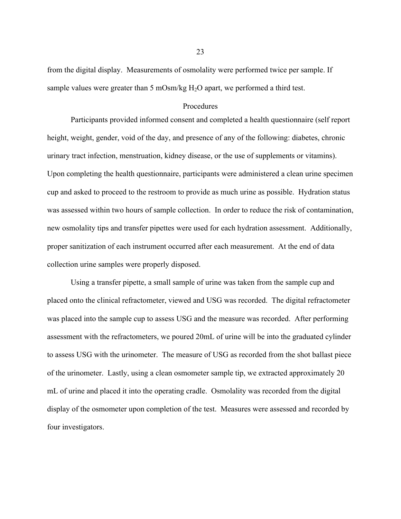from the digital display. Measurements of osmolality were performed twice per sample. If sample values were greater than 5 mOsm/kg  $H_2O$  apart, we performed a third test.

#### Procedures

Participants provided informed consent and completed a health questionnaire (self report height, weight, gender, void of the day, and presence of any of the following: diabetes, chronic urinary tract infection, menstruation, kidney disease, or the use of supplements or vitamins). Upon completing the health questionnaire, participants were administered a clean urine specimen cup and asked to proceed to the restroom to provide as much urine as possible. Hydration status was assessed within two hours of sample collection. In order to reduce the risk of contamination, new osmolality tips and transfer pipettes were used for each hydration assessment. Additionally, proper sanitization of each instrument occurred after each measurement. At the end of data collection urine samples were properly disposed.

Using a transfer pipette, a small sample of urine was taken from the sample cup and placed onto the clinical refractometer, viewed and USG was recorded. The digital refractometer was placed into the sample cup to assess USG and the measure was recorded. After performing assessment with the refractometers, we poured 20mL of urine will be into the graduated cylinder to assess USG with the urinometer. The measure of USG as recorded from the shot ballast piece of the urinometer. Lastly, using a clean osmometer sample tip, we extracted approximately 20 mL of urine and placed it into the operating cradle. Osmolality was recorded from the digital display of the osmometer upon completion of the test. Measures were assessed and recorded by four investigators.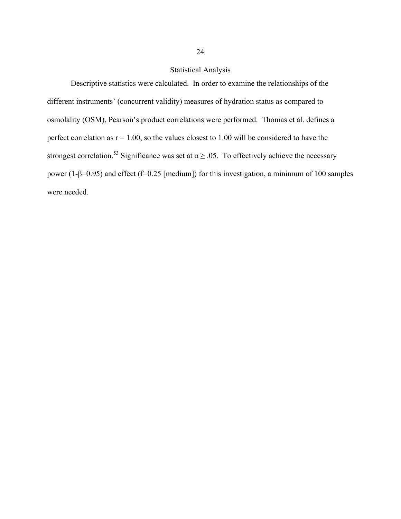# Statistical Analysis

Descriptive statistics were calculated. In order to examine the relationships of the different instruments' (concurrent validity) measures of hydration status as compared to osmolality (OSM), Pearson's product correlations were performed. Thomas et al. defines a perfect correlation as  $r = 1.00$ , so the values closest to 1.00 will be considered to have the strongest correlation.<sup>53</sup> Significance was set at  $\alpha \ge 0.05$ . To effectively achieve the necessary power (1-β=0.95) and effect (f=0.25 [medium]) for this investigation, a minimum of 100 samples were needed.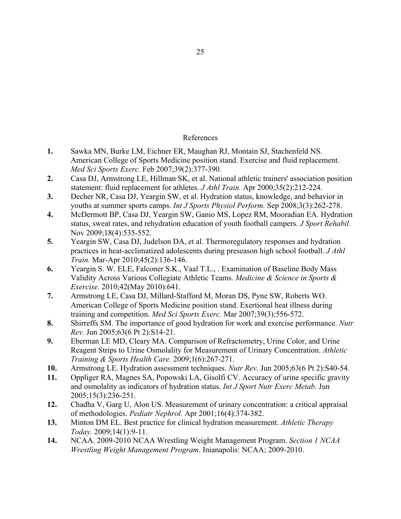# References

- **1.** Sawka MN, Burke LM, Eichner ER, Maughan RJ, Montain SJ, Stachenfeld NS. American College of Sports Medicine position stand. Exercise and fluid replacement. *Med Sci Sports Exerc.* Feb 2007;39(2):377-390.
- **2.** Casa DJ, Armstrong LE, Hillman SK, et al. National athletic trainers' association position statement: fluid replacement for athletes. *J Athl Train.* Apr 2000;35(2):212-224.
- **3.** Decher NR, Casa DJ, Yeargin SW, et al. Hydration status, knowledge, and behavior in youths at summer sports camps. *Int J Sports Physiol Perform.* Sep 2008;3(3):262-278.
- **4.** McDermott BP, Casa DJ, Yeargin SW, Ganio MS, Lopez RM, Mooradian EA. Hydration status, sweat rates, and rehydration education of youth football campers. *J Sport Rehabil.*  Nov 2009;18(4):535-552.
- **5.** Yeargin SW, Casa DJ, Judelson DA, et al. Thermoregulatory responses and hydration practices in heat-acclimatized adolescents during preseason high school football. *J Athl Train.* Mar-Apr 2010;45(2):136-146.
- **6.** Yeargin S. W. ELE, Falconer S.K., Vaal T.L., . Examination of Baseline Body Mass Validity Across Various Collegiate Athletic Teams. *Medicine & Science in Sports & Exercise.* 2010;42(May 2010):641.
- **7.** Armstrong LE, Casa DJ, Millard-Stafford M, Moran DS, Pyne SW, Roberts WO. American College of Sports Medicine position stand. Exertional heat illness during training and competition. *Med Sci Sports Exerc.* Mar 2007;39(3):556-572.
- **8.** Shirreffs SM. The importance of good hydration for work and exercise performance. *Nutr Rev.* Jun 2005;63(6 Pt 2):S14-21.
- **9.** Eberman LE MD, Cleary MA. Comparison of Refractometry, Urine Color, and Urine Reagent Strips to Urine Osmolality for Measurement of Urinary Concentration. *Athletic Training & Sports Health Care.* 2009;1(6):267-271.
- **10.** Armstrong LE. Hydration assessment techniques. *Nutr Rev.* Jun 2005;63(6 Pt 2):S40-54.
- **11.** Oppliger RA, Magnes SA, Popowski LA, Gisolfi CV. Accuracy of urine specific gravity and osmolality as indicators of hydration status. *Int J Sport Nutr Exerc Metab.* Jun 2005;15(3):236-251.
- **12.** Chadha V, Garg U, Alon US. Measurement of urinary concentration: a critical appraisal of methodologies. *Pediatr Nephrol.* Apr 2001;16(4):374-382.
- **13.** Minton DM EL. Best practice for clinical hydration measurement. *Athletic Therapy Today.* 2009;14(1):9-11.
- **14.** NCAA. 2009-2010 NCAA Wrestling Weight Management Program. *Section 1 NCAA Wrestling Weight Management Program*. Inianapolis: NCAA; 2009-2010.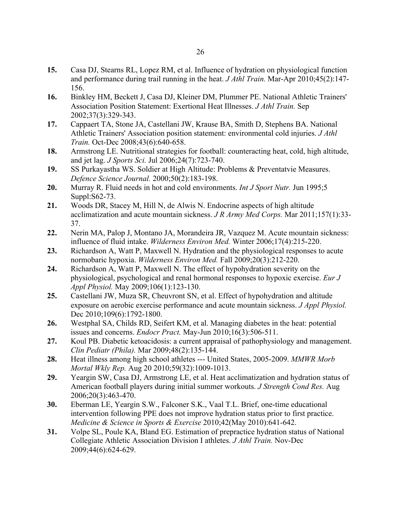- **15.** Casa DJ, Stearns RL, Lopez RM, et al. Influence of hydration on physiological function and performance during trail running in the heat. *J Athl Train.* Mar-Apr 2010;45(2):147- 156.
- **16.** Binkley HM, Beckett J, Casa DJ, Kleiner DM, Plummer PE. National Athletic Trainers' Association Position Statement: Exertional Heat Illnesses. *J Athl Train.* Sep 2002;37(3):329-343.
- **17.** Cappaert TA, Stone JA, Castellani JW, Krause BA, Smith D, Stephens BA. National Athletic Trainers' Association position statement: environmental cold injuries. *J Athl Train.* Oct-Dec 2008;43(6):640-658.
- **18.** Armstrong LE. Nutritional strategies for football: counteracting heat, cold, high altitude, and jet lag. *J Sports Sci.* Jul 2006;24(7):723-740.
- **19.** SS Purkayastha WS. Soldier at High Altitude: Problems & Preventatvie Measures. *Defence Science Journal.* 2000;50(2):183-198.
- **20.** Murray R. Fluid needs in hot and cold environments. *Int J Sport Nutr.* Jun 1995;5 Suppl:S62-73.
- **21.** Woods DR, Stacey M, Hill N, de Alwis N. Endocrine aspects of high altitude acclimatization and acute mountain sickness. *J R Army Med Corps.* Mar 2011;157(1):33- 37.
- **22.** Nerin MA, Palop J, Montano JA, Morandeira JR, Vazquez M. Acute mountain sickness: influence of fluid intake. *Wilderness Environ Med.* Winter 2006;17(4):215-220.
- **23.** Richardson A, Watt P, Maxwell N. Hydration and the physiological responses to acute normobaric hypoxia. *Wilderness Environ Med.* Fall 2009;20(3):212-220.
- **24.** Richardson A, Watt P, Maxwell N. The effect of hypohydration severity on the physiological, psychological and renal hormonal responses to hypoxic exercise. *Eur J Appl Physiol.* May 2009;106(1):123-130.
- **25.** Castellani JW, Muza SR, Cheuvront SN, et al. Effect of hypohydration and altitude exposure on aerobic exercise performance and acute mountain sickness. *J Appl Physiol.*  Dec 2010;109(6):1792-1800.
- **26.** Westphal SA, Childs RD, Seifert KM, et al. Managing diabetes in the heat: potential issues and concerns. *Endocr Pract.* May-Jun 2010;16(3):506-511.
- **27.** Koul PB. Diabetic ketoacidosis: a current appraisal of pathophysiology and management. *Clin Pediatr (Phila).* Mar 2009;48(2):135-144.
- **28.** Heat illness among high school athletes --- United States, 2005-2009. *MMWR Morb Mortal Wkly Rep.* Aug 20 2010;59(32):1009-1013.
- **29.** Yeargin SW, Casa DJ, Armstrong LE, et al. Heat acclimatization and hydration status of American football players during initial summer workouts. *J Strength Cond Res.* Aug 2006;20(3):463-470.
- **30.** Eberman LE, Yeargin S.W., Falconer S.K., Vaal T.L. Brief, one-time educational intervention following PPE does not improve hydration status prior to first practice. *Medicine & Science in Sports & Exercise* 2010;42(May 2010):641-642.
- **31.** Volpe SL, Poule KA, Bland EG. Estimation of prepractice hydration status of National Collegiate Athletic Association Division I athletes. *J Athl Train.* Nov-Dec 2009;44(6):624-629.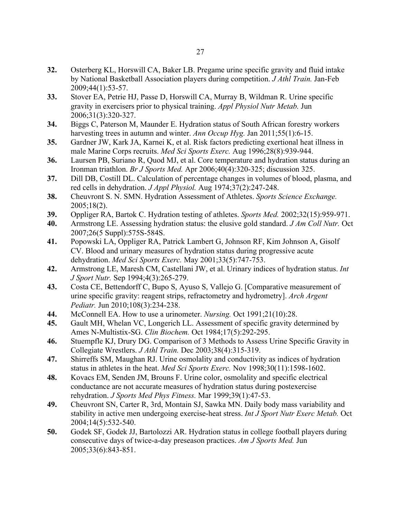- **32.** Osterberg KL, Horswill CA, Baker LB. Pregame urine specific gravity and fluid intake by National Basketball Association players during competition. *J Athl Train.* Jan-Feb 2009;44(1):53-57.
- **33.** Stover EA, Petrie HJ, Passe D, Horswill CA, Murray B, Wildman R. Urine specific gravity in exercisers prior to physical training. *Appl Physiol Nutr Metab.* Jun 2006;31(3):320-327.
- **34.** Biggs C, Paterson M, Maunder E. Hydration status of South African forestry workers harvesting trees in autumn and winter. *Ann Occup Hyg.* Jan 2011;55(1):6-15.
- **35.** Gardner JW, Kark JA, Karnei K, et al. Risk factors predicting exertional heat illness in male Marine Corps recruits. *Med Sci Sports Exerc.* Aug 1996;28(8):939-944.
- **36.** Laursen PB, Suriano R, Quod MJ, et al. Core temperature and hydration status during an Ironman triathlon. *Br J Sports Med.* Apr 2006;40(4):320-325; discussion 325.
- **37.** Dill DB, Costill DL. Calculation of percentage changes in volumes of blood, plasma, and red cells in dehydration. *J Appl Physiol.* Aug 1974;37(2):247-248.
- **38.** Cheuvront S. N. SMN. Hydration Assessment of Athletes. *Sports Science Exchange.*  2005;18(2).
- **39.** Oppliger RA, Bartok C. Hydration testing of athletes. *Sports Med.* 2002;32(15):959-971.
- **40.** Armstrong LE. Assessing hydration status: the elusive gold standard. *J Am Coll Nutr.* Oct 2007;26(5 Suppl):575S-584S.
- **41.** Popowski LA, Oppliger RA, Patrick Lambert G, Johnson RF, Kim Johnson A, Gisolf CV. Blood and urinary measures of hydration status during progressive acute dehydration. *Med Sci Sports Exerc.* May 2001;33(5):747-753.
- **42.** Armstrong LE, Maresh CM, Castellani JW, et al. Urinary indices of hydration status. *Int J Sport Nutr.* Sep 1994;4(3):265-279.
- **43.** Costa CE, Bettendorff C, Bupo S, Ayuso S, Vallejo G. [Comparative measurement of urine specific gravity: reagent strips, refractometry and hydrometry]. *Arch Argent Pediatr.* Jun 2010;108(3):234-238.
- **44.** McConnell EA. How to use a urinometer. *Nursing.* Oct 1991;21(10):28.
- **45.** Gault MH, Whelan VC, Longerich LL. Assessment of specific gravity determined by Ames N-Multistix-SG. *Clin Biochem.* Oct 1984;17(5):292-295.
- **46.** Stuempfle KJ, Drury DG. Comparison of 3 Methods to Assess Urine Specific Gravity in Collegiate Wrestlers. *J Athl Train.* Dec 2003;38(4):315-319.
- **47.** Shirreffs SM, Maughan RJ. Urine osmolality and conductivity as indices of hydration status in athletes in the heat. *Med Sci Sports Exerc.* Nov 1998;30(11):1598-1602.
- **48.** Kovacs EM, Senden JM, Brouns F. Urine color, osmolality and specific electrical conductance are not accurate measures of hydration status during postexercise rehydration. *J Sports Med Phys Fitness.* Mar 1999;39(1):47-53.
- **49.** Cheuvront SN, Carter R, 3rd, Montain SJ, Sawka MN. Daily body mass variability and stability in active men undergoing exercise-heat stress. *Int J Sport Nutr Exerc Metab.* Oct 2004;14(5):532-540.
- **50.** Godek SF, Godek JJ, Bartolozzi AR. Hydration status in college football players during consecutive days of twice-a-day preseason practices. *Am J Sports Med.* Jun 2005;33(6):843-851.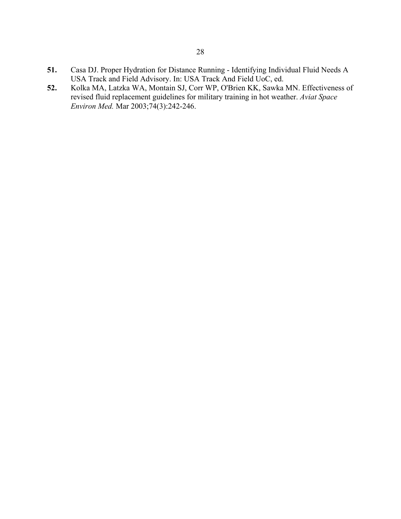- **51.** Casa DJ. Proper Hydration for Distance Running Identifying Individual Fluid Needs A USA Track and Field Advisory. In: USA Track And Field UoC, ed.
- **52.** Kolka MA, Latzka WA, Montain SJ, Corr WP, O'Brien KK, Sawka MN. Effectiveness of revised fluid replacement guidelines for military training in hot weather. *Aviat Space Environ Med.* Mar 2003;74(3):242-246.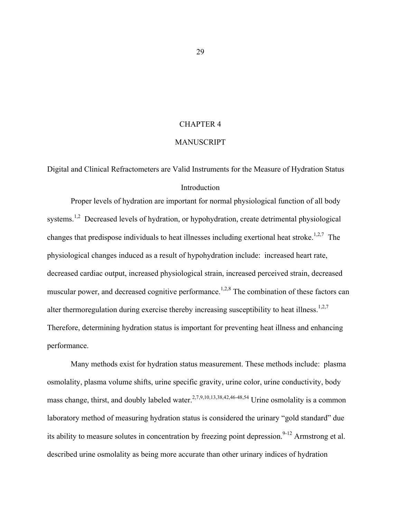### CHAPTER 4

### MANUSCRIPT

Digital and Clinical Refractometers are Valid Instruments for the Measure of Hydration Status Introduction

Proper levels of hydration are important for normal physiological function of all body systems.<sup>1,2</sup> Decreased levels of hydration, or hypohydration, create detrimental physiological changes that predispose individuals to heat illnesses including exertional heat stroke.<sup>1,2,7</sup> The physiological changes induced as a result of hypohydration include: increased heart rate, decreased cardiac output, increased physiological strain, increased perceived strain, decreased muscular power, and decreased cognitive performance.<sup>1,2,8</sup> The combination of these factors can alter thermoregulation during exercise thereby increasing susceptibility to heat illness.<sup>1,2,7</sup> Therefore, determining hydration status is important for preventing heat illness and enhancing performance.

Many methods exist for hydration status measurement. These methods include: plasma osmolality, plasma volume shifts, urine specific gravity, urine color, urine conductivity, body mass change, thirst, and doubly labeled water.<sup>2,7,9,10,13,38,42,46-48,54</sup> Urine osmolality is a common laboratory method of measuring hydration status is considered the urinary "gold standard" due its ability to measure solutes in concentration by freezing point depression.<sup>9-12</sup> Armstrong et al. described urine osmolality as being more accurate than other urinary indices of hydration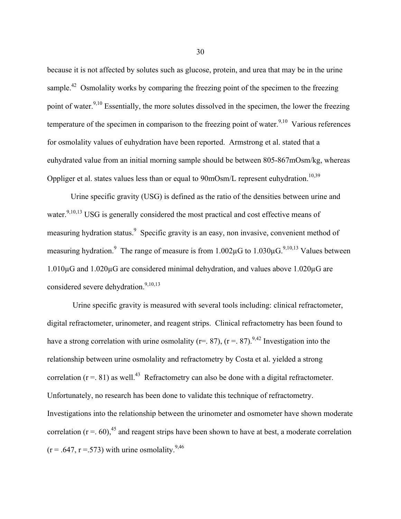because it is not affected by solutes such as glucose, protein, and urea that may be in the urine sample.<sup>42</sup> Osmolality works by comparing the freezing point of the specimen to the freezing point of water.<sup>9,10</sup> Essentially, the more solutes dissolved in the specimen, the lower the freezing temperature of the specimen in comparison to the freezing point of water.<sup>9,10</sup> Various references for osmolality values of euhydration have been reported. Armstrong et al. stated that a euhydrated value from an initial morning sample should be between 805-867mOsm/kg, whereas Oppliger et al. states values less than or equal to  $90 \text{mOsm/L}$  represent euhydration.<sup>10,39</sup>

Urine specific gravity (USG) is defined as the ratio of the densities between urine and water.<sup>9,10,13</sup> USG is generally considered the most practical and cost effective means of measuring hydration status.<sup>9</sup> Specific gravity is an easy, non invasive, convenient method of measuring hydration.<sup>9</sup> The range of measure is from  $1.002\mu$ G to  $1.030\mu$ G.<sup>9,10,13</sup> Values between 1.010µG and 1.020µG are considered minimal dehydration, and values above 1.020µG are considered severe dehydration.<sup>9,10,13</sup>

Urine specific gravity is measured with several tools including: clinical refractometer, digital refractometer, urinometer, and reagent strips. Clinical refractometry has been found to have a strong correlation with urine osmolality (r=. 87), (r = . 87).<sup>9,42</sup> Investigation into the relationship between urine osmolality and refractometry by Costa et al. yielded a strong correlation ( $r = .81$ ) as well.<sup>43</sup> Refractometry can also be done with a digital refractometer. Unfortunately, no research has been done to validate this technique of refractometry. Investigations into the relationship between the urinometer and osmometer have shown moderate correlation ( $r = .60$ ),<sup>45</sup> and reagent strips have been shown to have at best, a moderate correlation  $(r = .647, r = .573)$  with urine osmolality.<sup>9,46</sup>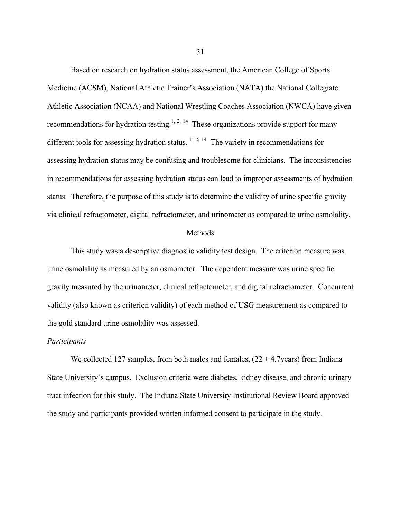Based on research on hydration status assessment, the American College of Sports Medicine (ACSM), National Athletic Trainer's Association (NATA) the National Collegiate Athletic Association (NCAA) and National Wrestling Coaches Association (NWCA) have given recommendations for hydration testing.<sup>1, 2, 14</sup> These organizations provide support for many different tools for assessing hydration status.  $1, 2, 14$  The variety in recommendations for assessing hydration status may be confusing and troublesome for clinicians. The inconsistencies in recommendations for assessing hydration status can lead to improper assessments of hydration status. Therefore, the purpose of this study is to determine the validity of urine specific gravity via clinical refractometer, digital refractometer, and urinometer as compared to urine osmolality.

#### Methods

This study was a descriptive diagnostic validity test design. The criterion measure was urine osmolality as measured by an osmometer. The dependent measure was urine specific gravity measured by the urinometer, clinical refractometer, and digital refractometer. Concurrent validity (also known as criterion validity) of each method of USG measurement as compared to the gold standard urine osmolality was assessed.

### *Participants*

We collected 127 samples, from both males and females,  $(22 \pm 4.7 \text{years})$  from Indiana State University's campus. Exclusion criteria were diabetes, kidney disease, and chronic urinary tract infection for this study. The Indiana State University Institutional Review Board approved the study and participants provided written informed consent to participate in the study.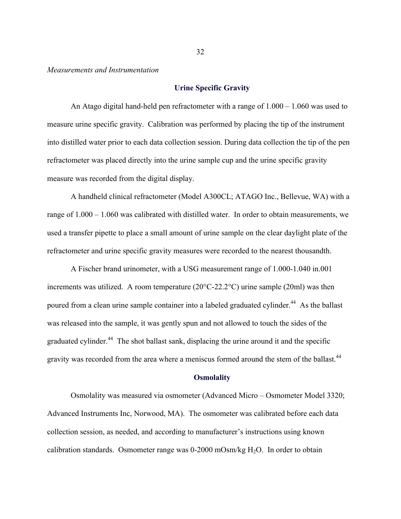*Measurements and Instrumentation*

### **Urine Specific Gravity**

An Atago digital hand-held pen refractometer with a range of 1.000 – 1.060 was used to measure urine specific gravity. Calibration was performed by placing the tip of the instrument into distilled water prior to each data collection session. During data collection the tip of the pen refractometer was placed directly into the urine sample cup and the urine specific gravity measure was recorded from the digital display.

A handheld clinical refractometer (Model A300CL; ATAGO Inc., Bellevue, WA) with a range of 1.000 – 1.060 was calibrated with distilled water. In order to obtain measurements, we used a transfer pipette to place a small amount of urine sample on the clear daylight plate of the refractometer and urine specific gravity measures were recorded to the nearest thousandth.

A Fischer brand urinometer, with a USG measurement range of 1.000-1.040 in.001 increments was utilized. A room temperature (20°C-22.2°C) urine sample (20ml) was then poured from a clean urine sample container into a labeled graduated cylinder.<sup>44</sup> As the ballast was released into the sample, it was gently spun and not allowed to touch the sides of the graduated cylinder.<sup>44</sup> The shot ballast sank, displacing the urine around it and the specific gravity was recorded from the area where a meniscus formed around the stem of the ballast.<sup>44</sup>

#### **Osmolality**

Osmolality was measured via osmometer (Advanced Micro – Osmometer Model 3320; Advanced Instruments Inc, Norwood, MA). The osmometer was calibrated before each data collection session, as needed, and according to manufacturer's instructions using known calibration standards. Osmometer range was  $0\n-2000$  mOsm/kg H<sub>2</sub>O. In order to obtain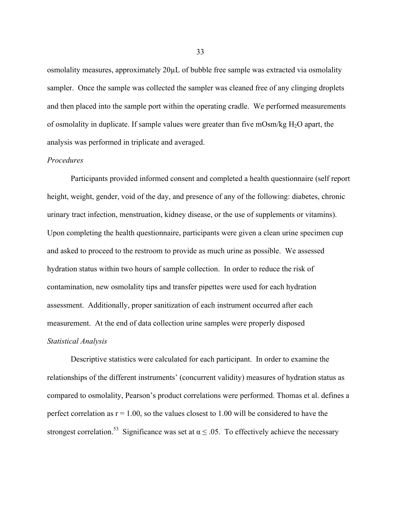osmolality measures, approximately 20µL of bubble free sample was extracted via osmolality sampler. Once the sample was collected the sampler was cleaned free of any clinging droplets and then placed into the sample port within the operating cradle. We performed measurements of osmolality in duplicate. If sample values were greater than five mOsm/kg  $H_2O$  apart, the analysis was performed in triplicate and averaged.

### *Procedures*

Participants provided informed consent and completed a health questionnaire (self report height, weight, gender, void of the day, and presence of any of the following: diabetes, chronic urinary tract infection, menstruation, kidney disease, or the use of supplements or vitamins). Upon completing the health questionnaire, participants were given a clean urine specimen cup and asked to proceed to the restroom to provide as much urine as possible. We assessed hydration status within two hours of sample collection. In order to reduce the risk of contamination, new osmolality tips and transfer pipettes were used for each hydration assessment. Additionally, proper sanitization of each instrument occurred after each measurement. At the end of data collection urine samples were properly disposed *Statistical Analysis*

Descriptive statistics were calculated for each participant. In order to examine the relationships of the different instruments' (concurrent validity) measures of hydration status as compared to osmolality, Pearson's product correlations were performed. Thomas et al. defines a perfect correlation as  $r = 1.00$ , so the values closest to 1.00 will be considered to have the strongest correlation.<sup>53</sup> Significance was set at  $\alpha \leq .05$ . To effectively achieve the necessary

33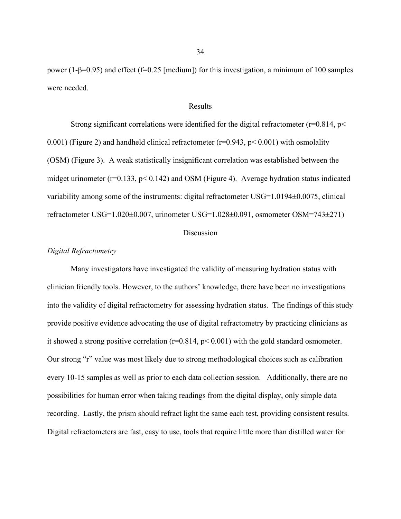power (1-β=0.95) and effect (f=0.25 [medium]) for this investigation, a minimum of 100 samples were needed.

#### Results

Strong significant correlations were identified for the digital refractometer ( $r=0.814$ ,  $p<$ 0.001) (Figure 2) and handheld clinical refractometer ( $r=0.943$ ,  $p<0.001$ ) with osmolality (OSM) (Figure 3). A weak statistically insignificant correlation was established between the midget urinometer ( $r=0.133$ ,  $p< 0.142$ ) and OSM (Figure 4). Average hydration status indicated variability among some of the instruments: digital refractometer USG=1.0194±0.0075, clinical refractometer USG=1.020±0.007, urinometer USG=1.028±0.091, osmometer OSM=743±271)

#### Discussion

### *Digital Refractometry*

Many investigators have investigated the validity of measuring hydration status with clinician friendly tools. However, to the authors' knowledge, there have been no investigations into the validity of digital refractometry for assessing hydration status. The findings of this study provide positive evidence advocating the use of digital refractometry by practicing clinicians as it showed a strong positive correlation ( $r=0.814$ ,  $p< 0.001$ ) with the gold standard osmometer. Our strong "r" value was most likely due to strong methodological choices such as calibration every 10-15 samples as well as prior to each data collection session. Additionally, there are no possibilities for human error when taking readings from the digital display, only simple data recording. Lastly, the prism should refract light the same each test, providing consistent results. Digital refractometers are fast, easy to use, tools that require little more than distilled water for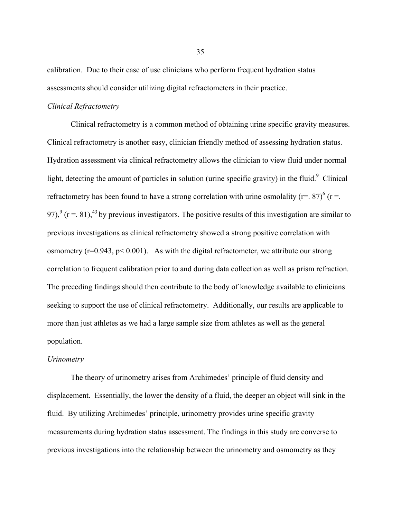calibration. Due to their ease of use clinicians who perform frequent hydration status assessments should consider utilizing digital refractometers in their practice.

### *Clinical Refractometry*

Clinical refractometry is a common method of obtaining urine specific gravity measures. Clinical refractometry is another easy, clinician friendly method of assessing hydration status. Hydration assessment via clinical refractometry allows the clinician to view fluid under normal light, detecting the amount of particles in solution (urine specific gravity) in the fluid.<sup>9</sup> Clinical refractometry has been found to have a strong correlation with urine osmolality (r=. 87)<sup>6</sup> (r =. 97),<sup>9</sup> (r = . 81),<sup>43</sup> by previous investigators. The positive results of this investigation are similar to previous investigations as clinical refractometry showed a strong positive correlation with osmometry ( $r=0.943$ ,  $p<0.001$ ). As with the digital refractometer, we attribute our strong correlation to frequent calibration prior to and during data collection as well as prism refraction. The preceding findings should then contribute to the body of knowledge available to clinicians seeking to support the use of clinical refractometry. Additionally, our results are applicable to more than just athletes as we had a large sample size from athletes as well as the general population.

#### *Urinometry*

The theory of urinometry arises from Archimedes' principle of fluid density and displacement. Essentially, the lower the density of a fluid, the deeper an object will sink in the fluid. By utilizing Archimedes' principle, urinometry provides urine specific gravity measurements during hydration status assessment. The findings in this study are converse to previous investigations into the relationship between the urinometry and osmometry as they

35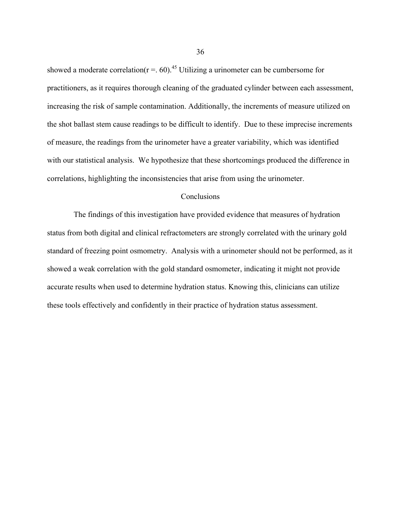showed a moderate correlation( $r = .60$ ).<sup>45</sup> Utilizing a urinometer can be cumbersome for practitioners, as it requires thorough cleaning of the graduated cylinder between each assessment, increasing the risk of sample contamination. Additionally, the increments of measure utilized on the shot ballast stem cause readings to be difficult to identify. Due to these imprecise increments of measure, the readings from the urinometer have a greater variability, which was identified with our statistical analysis. We hypothesize that these shortcomings produced the difference in correlations, highlighting the inconsistencies that arise from using the urinometer.

### Conclusions

The findings of this investigation have provided evidence that measures of hydration status from both digital and clinical refractometers are strongly correlated with the urinary gold standard of freezing point osmometry. Analysis with a urinometer should not be performed, as it showed a weak correlation with the gold standard osmometer, indicating it might not provide accurate results when used to determine hydration status. Knowing this, clinicians can utilize these tools effectively and confidently in their practice of hydration status assessment.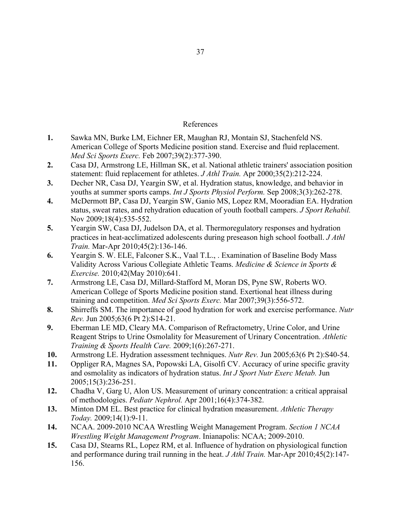## References

- **1.** Sawka MN, Burke LM, Eichner ER, Maughan RJ, Montain SJ, Stachenfeld NS. American College of Sports Medicine position stand. Exercise and fluid replacement. *Med Sci Sports Exerc.* Feb 2007;39(2):377-390.
- **2.** Casa DJ, Armstrong LE, Hillman SK, et al. National athletic trainers' association position statement: fluid replacement for athletes. *J Athl Train.* Apr 2000;35(2):212-224.
- **3.** Decher NR, Casa DJ, Yeargin SW, et al. Hydration status, knowledge, and behavior in youths at summer sports camps. *Int J Sports Physiol Perform.* Sep 2008;3(3):262-278.
- **4.** McDermott BP, Casa DJ, Yeargin SW, Ganio MS, Lopez RM, Mooradian EA. Hydration status, sweat rates, and rehydration education of youth football campers. *J Sport Rehabil.*  Nov 2009;18(4):535-552.
- **5.** Yeargin SW, Casa DJ, Judelson DA, et al. Thermoregulatory responses and hydration practices in heat-acclimatized adolescents during preseason high school football. *J Athl Train.* Mar-Apr 2010;45(2):136-146.
- **6.** Yeargin S. W. ELE, Falconer S.K., Vaal T.L., . Examination of Baseline Body Mass Validity Across Various Collegiate Athletic Teams. *Medicine & Science in Sports & Exercise.* 2010;42(May 2010):641.
- **7.** Armstrong LE, Casa DJ, Millard-Stafford M, Moran DS, Pyne SW, Roberts WO. American College of Sports Medicine position stand. Exertional heat illness during training and competition. *Med Sci Sports Exerc.* Mar 2007;39(3):556-572.
- **8.** Shirreffs SM. The importance of good hydration for work and exercise performance. *Nutr Rev.* Jun 2005;63(6 Pt 2):S14-21.
- **9.** Eberman LE MD, Cleary MA. Comparison of Refractometry, Urine Color, and Urine Reagent Strips to Urine Osmolality for Measurement of Urinary Concentration. *Athletic Training & Sports Health Care.* 2009;1(6):267-271.
- **10.** Armstrong LE. Hydration assessment techniques. *Nutr Rev.* Jun 2005;63(6 Pt 2):S40-54.
- **11.** Oppliger RA, Magnes SA, Popowski LA, Gisolfi CV. Accuracy of urine specific gravity and osmolality as indicators of hydration status. *Int J Sport Nutr Exerc Metab.* Jun 2005;15(3):236-251.
- **12.** Chadha V, Garg U, Alon US. Measurement of urinary concentration: a critical appraisal of methodologies. *Pediatr Nephrol.* Apr 2001;16(4):374-382.
- **13.** Minton DM EL. Best practice for clinical hydration measurement. *Athletic Therapy Today.* 2009;14(1):9-11.
- **14.** NCAA. 2009-2010 NCAA Wrestling Weight Management Program. *Section 1 NCAA Wrestling Weight Management Program*. Inianapolis: NCAA; 2009-2010.
- **15.** Casa DJ, Stearns RL, Lopez RM, et al. Influence of hydration on physiological function and performance during trail running in the heat. *J Athl Train.* Mar-Apr 2010;45(2):147- 156.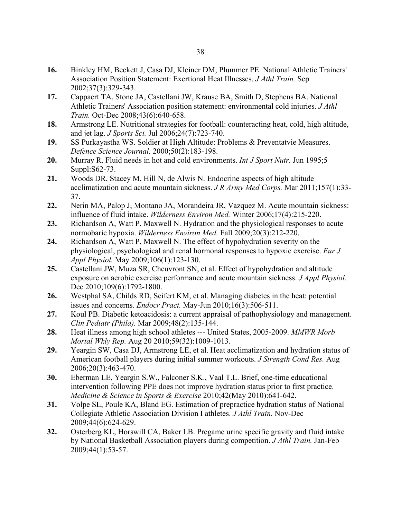- **16.** Binkley HM, Beckett J, Casa DJ, Kleiner DM, Plummer PE. National Athletic Trainers' Association Position Statement: Exertional Heat Illnesses. *J Athl Train.* Sep 2002;37(3):329-343.
- **17.** Cappaert TA, Stone JA, Castellani JW, Krause BA, Smith D, Stephens BA. National Athletic Trainers' Association position statement: environmental cold injuries. *J Athl Train.* Oct-Dec 2008;43(6):640-658.
- **18.** Armstrong LE. Nutritional strategies for football: counteracting heat, cold, high altitude, and jet lag. *J Sports Sci.* Jul 2006;24(7):723-740.
- **19.** SS Purkayastha WS. Soldier at High Altitude: Problems & Preventatvie Measures. *Defence Science Journal.* 2000;50(2):183-198.
- **20.** Murray R. Fluid needs in hot and cold environments. *Int J Sport Nutr.* Jun 1995;5 Suppl:S62-73.
- **21.** Woods DR, Stacey M, Hill N, de Alwis N. Endocrine aspects of high altitude acclimatization and acute mountain sickness. *J R Army Med Corps.* Mar 2011;157(1):33- 37.
- **22.** Nerin MA, Palop J, Montano JA, Morandeira JR, Vazquez M. Acute mountain sickness: influence of fluid intake. *Wilderness Environ Med.* Winter 2006;17(4):215-220.
- **23.** Richardson A, Watt P, Maxwell N. Hydration and the physiological responses to acute normobaric hypoxia. *Wilderness Environ Med.* Fall 2009;20(3):212-220.
- **24.** Richardson A, Watt P, Maxwell N. The effect of hypohydration severity on the physiological, psychological and renal hormonal responses to hypoxic exercise. *Eur J Appl Physiol.* May 2009;106(1):123-130.
- **25.** Castellani JW, Muza SR, Cheuvront SN, et al. Effect of hypohydration and altitude exposure on aerobic exercise performance and acute mountain sickness. *J Appl Physiol.*  Dec 2010;109(6):1792-1800.
- **26.** Westphal SA, Childs RD, Seifert KM, et al. Managing diabetes in the heat: potential issues and concerns. *Endocr Pract.* May-Jun 2010;16(3):506-511.
- **27.** Koul PB. Diabetic ketoacidosis: a current appraisal of pathophysiology and management. *Clin Pediatr (Phila).* Mar 2009;48(2):135-144.
- **28.** Heat illness among high school athletes --- United States, 2005-2009. *MMWR Morb Mortal Wkly Rep.* Aug 20 2010;59(32):1009-1013.
- **29.** Yeargin SW, Casa DJ, Armstrong LE, et al. Heat acclimatization and hydration status of American football players during initial summer workouts. *J Strength Cond Res.* Aug 2006;20(3):463-470.
- **30.** Eberman LE, Yeargin S.W., Falconer S.K., Vaal T.L. Brief, one-time educational intervention following PPE does not improve hydration status prior to first practice. *Medicine & Science in Sports & Exercise* 2010;42(May 2010):641-642.
- **31.** Volpe SL, Poule KA, Bland EG. Estimation of prepractice hydration status of National Collegiate Athletic Association Division I athletes. *J Athl Train.* Nov-Dec 2009;44(6):624-629.
- **32.** Osterberg KL, Horswill CA, Baker LB. Pregame urine specific gravity and fluid intake by National Basketball Association players during competition. *J Athl Train.* Jan-Feb 2009;44(1):53-57.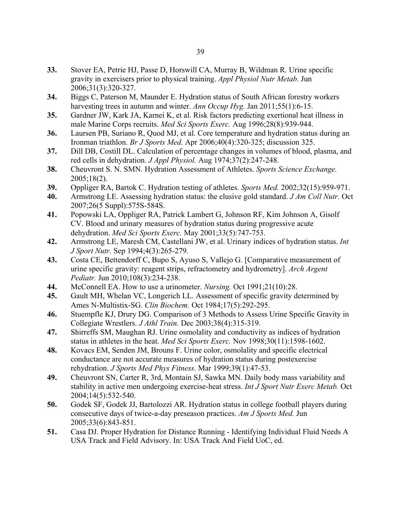- **33.** Stover EA, Petrie HJ, Passe D, Horswill CA, Murray B, Wildman R. Urine specific gravity in exercisers prior to physical training. *Appl Physiol Nutr Metab.* Jun 2006;31(3):320-327.
- **34.** Biggs C, Paterson M, Maunder E. Hydration status of South African forestry workers harvesting trees in autumn and winter. *Ann Occup Hyg.* Jan 2011;55(1):6-15.
- **35.** Gardner JW, Kark JA, Karnei K, et al. Risk factors predicting exertional heat illness in male Marine Corps recruits. *Med Sci Sports Exerc.* Aug 1996;28(8):939-944.
- **36.** Laursen PB, Suriano R, Quod MJ, et al. Core temperature and hydration status during an Ironman triathlon. *Br J Sports Med.* Apr 2006;40(4):320-325; discussion 325.
- **37.** Dill DB, Costill DL. Calculation of percentage changes in volumes of blood, plasma, and red cells in dehydration. *J Appl Physiol.* Aug 1974;37(2):247-248.
- **38.** Cheuvront S. N. SMN. Hydration Assessment of Athletes. *Sports Science Exchange.*  2005;18(2).
- **39.** Oppliger RA, Bartok C. Hydration testing of athletes. *Sports Med.* 2002;32(15):959-971.
- **40.** Armstrong LE. Assessing hydration status: the elusive gold standard. *J Am Coll Nutr.* Oct 2007;26(5 Suppl):575S-584S.
- **41.** Popowski LA, Oppliger RA, Patrick Lambert G, Johnson RF, Kim Johnson A, Gisolf CV. Blood and urinary measures of hydration status during progressive acute dehydration. *Med Sci Sports Exerc.* May 2001;33(5):747-753.
- **42.** Armstrong LE, Maresh CM, Castellani JW, et al. Urinary indices of hydration status. *Int J Sport Nutr.* Sep 1994;4(3):265-279.
- **43.** Costa CE, Bettendorff C, Bupo S, Ayuso S, Vallejo G. [Comparative measurement of urine specific gravity: reagent strips, refractometry and hydrometry]. *Arch Argent Pediatr.* Jun 2010;108(3):234-238.
- **44.** McConnell EA. How to use a urinometer. *Nursing.* Oct 1991;21(10):28.
- **45.** Gault MH, Whelan VC, Longerich LL. Assessment of specific gravity determined by Ames N-Multistix-SG. *Clin Biochem.* Oct 1984;17(5):292-295.
- **46.** Stuempfle KJ, Drury DG. Comparison of 3 Methods to Assess Urine Specific Gravity in Collegiate Wrestlers. *J Athl Train.* Dec 2003;38(4):315-319.
- **47.** Shirreffs SM, Maughan RJ. Urine osmolality and conductivity as indices of hydration status in athletes in the heat. *Med Sci Sports Exerc.* Nov 1998;30(11):1598-1602.
- **48.** Kovacs EM, Senden JM, Brouns F. Urine color, osmolality and specific electrical conductance are not accurate measures of hydration status during postexercise rehydration. *J Sports Med Phys Fitness.* Mar 1999;39(1):47-53.
- **49.** Cheuvront SN, Carter R, 3rd, Montain SJ, Sawka MN. Daily body mass variability and stability in active men undergoing exercise-heat stress. *Int J Sport Nutr Exerc Metab.* Oct 2004;14(5):532-540.
- **50.** Godek SF, Godek JJ, Bartolozzi AR. Hydration status in college football players during consecutive days of twice-a-day preseason practices. *Am J Sports Med.* Jun 2005;33(6):843-851.
- **51.** Casa DJ. Proper Hydration for Distance Running Identifying Individual Fluid Needs A USA Track and Field Advisory. In: USA Track And Field UoC, ed.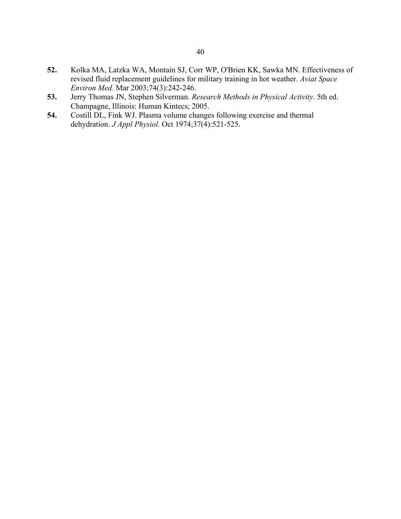- **52.** Kolka MA, Latzka WA, Montain SJ, Corr WP, O'Brien KK, Sawka MN. Effectiveness of revised fluid replacement guidelines for military training in hot weather. *Aviat Space Environ Med.* Mar 2003;74(3):242-246.
- **53.** Jerry Thomas JN, Stephen Silverman. *Research Methods in Physical Activity*. 5th ed. Champagne, Illinois: Human Kintecs; 2005.
- **54.** Costill DL, Fink WJ. Plasma volume changes following exercise and thermal dehydration. *J Appl Physiol.* Oct 1974;37(4):521-525.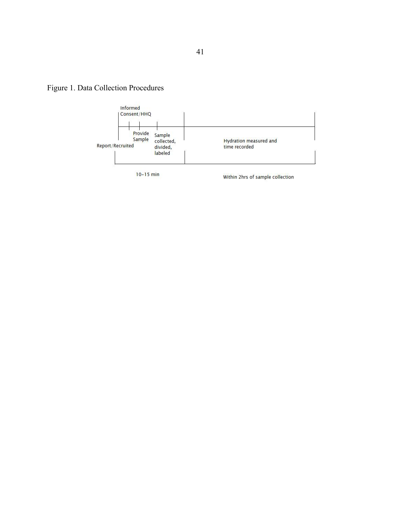



 $10 - 15$  min

Within 2hrs of sample collection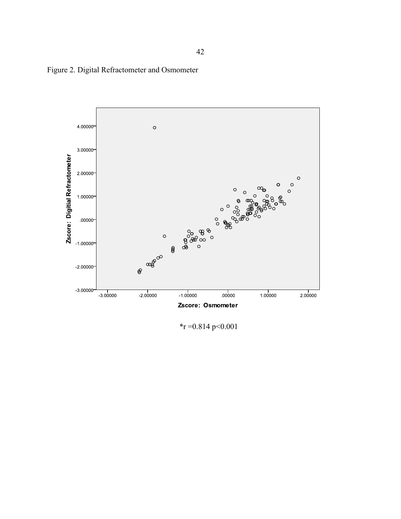Figure 2. Digital Refractometer and Osmometer



 $*_r$  =0.814 p<0.001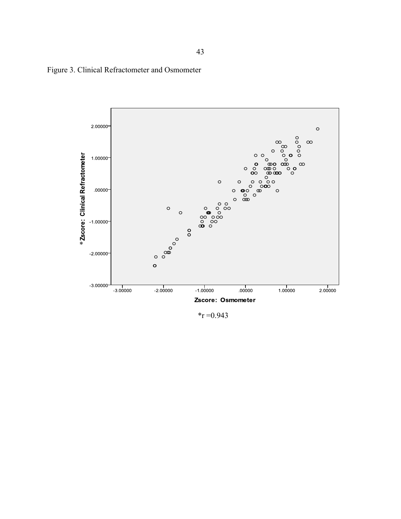



 $*_T = 0.943$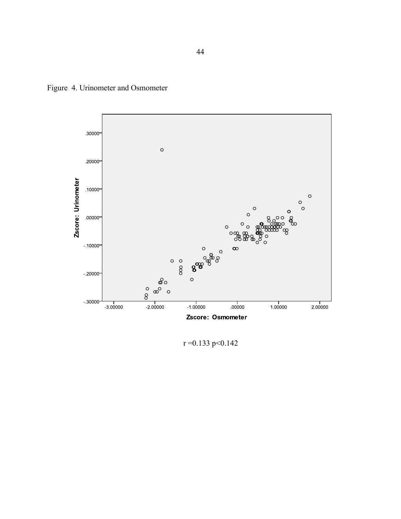Figure 4. Urinometer and Osmometer



 $r = 0.133$  p < 0.142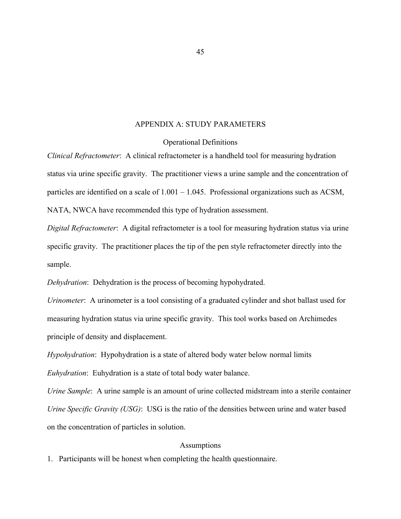# APPENDIX A: STUDY PARAMETERS

### Operational Definitions

*Clinical Refractometer*: A clinical refractometer is a handheld tool for measuring hydration status via urine specific gravity. The practitioner views a urine sample and the concentration of particles are identified on a scale of 1.001 – 1.045. Professional organizations such as ACSM, NATA, NWCA have recommended this type of hydration assessment.

*Digital Refractometer*: A digital refractometer is a tool for measuring hydration status via urine specific gravity. The practitioner places the tip of the pen style refractometer directly into the sample.

*Dehydration*: Dehydration is the process of becoming hypohydrated.

*Urinometer*: A urinometer is a tool consisting of a graduated cylinder and shot ballast used for measuring hydration status via urine specific gravity. This tool works based on Archimedes principle of density and displacement.

*Hypohydration*: Hypohydration is a state of altered body water below normal limits *Euhydration*: Euhydration is a state of total body water balance.

*Urine Sample*: A urine sample is an amount of urine collected midstream into a sterile container *Urine Specific Gravity (USG)*: USG is the ratio of the densities between urine and water based on the concentration of particles in solution.

### Assumptions

1. Participants will be honest when completing the health questionnaire.

45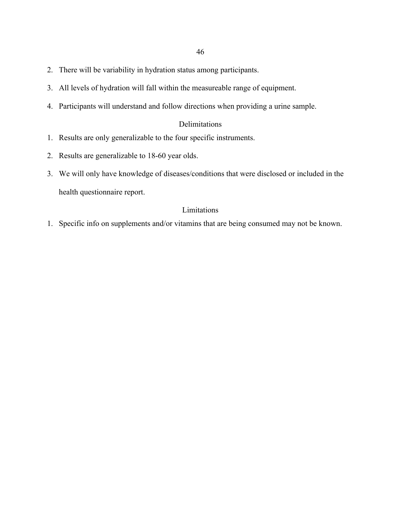- 2. There will be variability in hydration status among participants.
- 3. All levels of hydration will fall within the measureable range of equipment.
- 4. Participants will understand and follow directions when providing a urine sample.

# Delimitations

- 1. Results are only generalizable to the four specific instruments.
- 2. Results are generalizable to 18-60 year olds.
- 3. We will only have knowledge of diseases/conditions that were disclosed or included in the health questionnaire report.

# Limitations

1. Specific info on supplements and/or vitamins that are being consumed may not be known.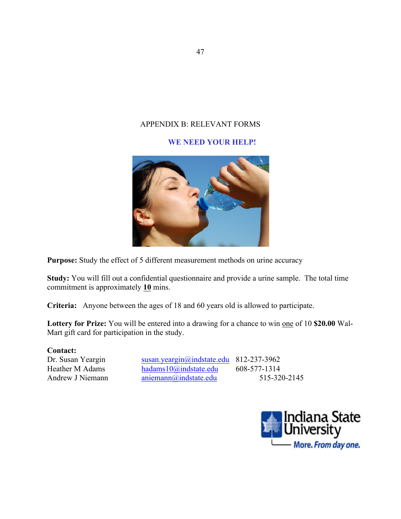# APPENDIX B: RELEVANT FORMS

# **WE NEED YOUR HELP!**



Purpose: Study the effect of 5 different measurement methods on urine accuracy

**Study:** You will fill out a confidential questionnaire and provide a urine sample. The total time commitment is approximately **10** mins.

**Criteria:** Anyone between the ages of 18 and 60 years old is allowed to participate.

**Lottery for Prize:** You will be entered into a drawing for a chance to win one of 10 **\$20.00** Wal-Mart gift card for participation in the study.

## **Contact:**

Dr. Susan Yeargin susan.yeargin@indstate.edu 812-237-3962 Heather M Adams hadams10@indstate.edu 608-577-1314 Andrew J Niemann aniemann aniemann aniemann and state.edu 515-320-2145

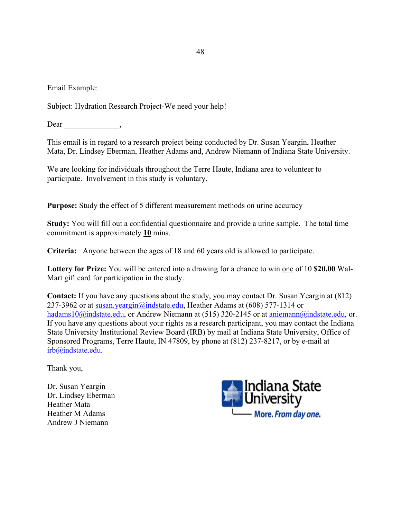Email Example:

Subject: Hydration Research Project-We need your help!

Dear  $\qquad \qquad \qquad$ 

This email is in regard to a research project being conducted by Dr. Susan Yeargin, Heather Mata, Dr. Lindsey Eberman, Heather Adams and, Andrew Niemann of Indiana State University.

We are looking for individuals throughout the Terre Haute, Indiana area to volunteer to participate. Involvement in this study is voluntary.

**Purpose:** Study the effect of 5 different measurement methods on urine accuracy

**Study:** You will fill out a confidential questionnaire and provide a urine sample. The total time commitment is approximately **10** mins.

**Criteria:** Anyone between the ages of 18 and 60 years old is allowed to participate.

**Lottery for Prize:** You will be entered into a drawing for a chance to win one of 10 **\$20.00** Wal-Mart gift card for participation in the study.

**Contact:** If you have any questions about the study, you may contact Dr. Susan Yeargin at (812) 237-3962 or at susan.yeargin@indstate.edu, Heather Adams at (608) 577-1314 or hadams10@indstate.edu, or Andrew Niemann at (515) 320-2145 or at aniemann@indstate.edu, or. If you have any questions about your rights as a research participant, you may contact the Indiana State University Institutional Review Board (IRB) by mail at Indiana State University, Office of Sponsored Programs, Terre Haute, IN 47809, by phone at (812) 237-8217, or by e-mail at irb@indstate.edu.

Thank you,

Dr. Susan Yeargin Dr. Lindsey Eberman Heather Mata Heather M Adams Andrew J Niemann

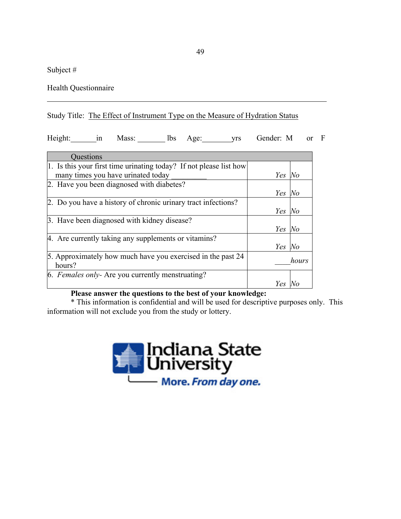Subject #

Health Questionnaire

# Study Title: The Effect of Instrument Type on the Measure of Hydration Status

Height: in Mass: lbs Age: yrs Gender: M or F

| Questions                                                          |        |       |
|--------------------------------------------------------------------|--------|-------|
| 1. Is this your first time urinating today? If not please list how |        |       |
| many times you have urinated today                                 | Yes No |       |
| 2. Have you been diagnosed with diabetes?                          |        |       |
|                                                                    | Yes    | No    |
| 2. Do you have a history of chronic urinary tract infections?      |        |       |
|                                                                    | Yes    | $N$ o |
| 3. Have been diagnosed with kidney disease?                        |        |       |
|                                                                    | Yes    | No    |
| 4. Are currently taking any supplements or vitamins?               |        |       |
|                                                                    | Yes    | $N$ o |
| 5. Approximately how much have you exercised in the past 24        |        | hours |
| hours?                                                             |        |       |
| 6. Females only- Are you currently menstruating?                   |        |       |
|                                                                    | Yes    |       |

# **Please answer the questions to the best of your knowledge:**

\* This information is confidential and will be used for descriptive purposes only. This information will not exclude you from the study or lottery.

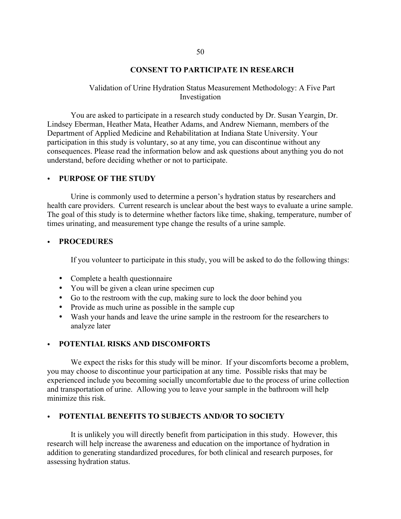### **CONSENT TO PARTICIPATE IN RESEARCH**

### Validation of Urine Hydration Status Measurement Methodology: A Five Part Investigation

You are asked to participate in a research study conducted by Dr. Susan Yeargin, Dr. Lindsey Eberman, Heather Mata, Heather Adams, and Andrew Niemann, members of the Department of Applied Medicine and Rehabilitation at Indiana State University. Your participation in this study is voluntary, so at any time, you can discontinue without any consequences. Please read the information below and ask questions about anything you do not understand, before deciding whether or not to participate.

### • **PURPOSE OF THE STUDY**

Urine is commonly used to determine a person's hydration status by researchers and health care providers. Current research is unclear about the best ways to evaluate a urine sample. The goal of this study is to determine whether factors like time, shaking, temperature, number of times urinating, and measurement type change the results of a urine sample.

### • **PROCEDURES**

If you volunteer to participate in this study, you will be asked to do the following things:

- Complete a health questionnaire
- You will be given a clean urine specimen cup
- Go to the restroom with the cup, making sure to lock the door behind you
- Provide as much urine as possible in the sample cup
- Wash your hands and leave the urine sample in the restroom for the researchers to analyze later

### • **POTENTIAL RISKS AND DISCOMFORTS**

We expect the risks for this study will be minor. If your discomforts become a problem, you may choose to discontinue your participation at any time. Possible risks that may be experienced include you becoming socially uncomfortable due to the process of urine collection and transportation of urine. Allowing you to leave your sample in the bathroom will help minimize this risk.

### • **POTENTIAL BENEFITS TO SUBJECTS AND/OR TO SOCIETY**

It is unlikely you will directly benefit from participation in this study. However, this research will help increase the awareness and education on the importance of hydration in addition to generating standardized procedures, for both clinical and research purposes, for assessing hydration status.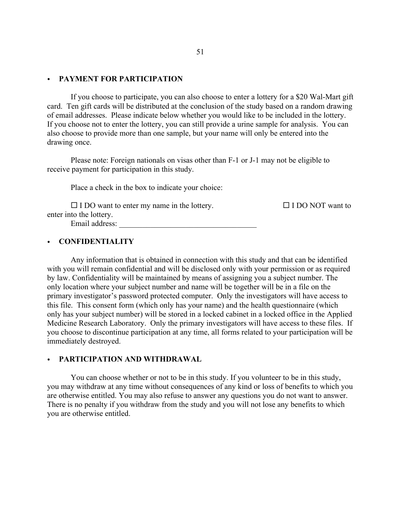### • **PAYMENT FOR PARTICIPATION**

If you choose to participate, you can also choose to enter a lottery for a \$20 Wal-Mart gift card. Ten gift cards will be distributed at the conclusion of the study based on a random drawing of email addresses. Please indicate below whether you would like to be included in the lottery. If you choose not to enter the lottery, you can still provide a urine sample for analysis. You can also choose to provide more than one sample, but your name will only be entered into the drawing once.

Please note: Foreign nationals on visas other than F-1 or J-1 may not be eligible to receive payment for participation in this study.

Place a check in the box to indicate your choice:

 $\square$  I DO want to enter my name in the lottery.  $\square$  I DO NOT want to enter into the lottery. Email address:

### • **CONFIDENTIALITY**

Any information that is obtained in connection with this study and that can be identified with you will remain confidential and will be disclosed only with your permission or as required by law. Confidentiality will be maintained by means of assigning you a subject number. The only location where your subject number and name will be together will be in a file on the primary investigator's password protected computer. Only the investigators will have access to this file. This consent form (which only has your name) and the health questionnaire (which only has your subject number) will be stored in a locked cabinet in a locked office in the Applied Medicine Research Laboratory. Only the primary investigators will have access to these files. If you choose to discontinue participation at any time, all forms related to your participation will be immediately destroyed.

### • **PARTICIPATION AND WITHDRAWAL**

You can choose whether or not to be in this study. If you volunteer to be in this study, you may withdraw at any time without consequences of any kind or loss of benefits to which you are otherwise entitled. You may also refuse to answer any questions you do not want to answer. There is no penalty if you withdraw from the study and you will not lose any benefits to which you are otherwise entitled.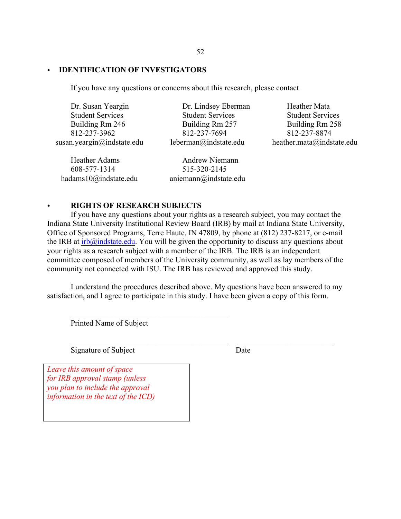# • **IDENTIFICATION OF INVESTIGATORS**

If you have any questions or concerns about this research, please contact

Dr. Susan Yeargin Student Services Building Rm 246 812-237-3962 susan.yeargin@indstate.edu Dr. Lindsey Eberman

Heather Adams 608-577-1314 hadams10@indstate.edu

Student Services Building Rm 257 812-237-7694 leberman@indstate.edu

Andrew Niemann 515-320-2145 aniemann@indstate.edu

Heather Mata Student Services Building Rm 258 812-237-8874 heather.mata@indstate.edu

# • **RIGHTS OF RESEARCH SUBJECTS**

If you have any questions about your rights as a research subject, you may contact the Indiana State University Institutional Review Board (IRB) by mail at Indiana State University, Office of Sponsored Programs, Terre Haute, IN 47809, by phone at (812) 237-8217, or e-mail the IRB at  $irb@indstate.edu$ . You will be given the opportunity to discuss any questions about your rights as a research subject with a member of the IRB. The IRB is an independent committee composed of members of the University community, as well as lay members of the community not connected with ISU. The IRB has reviewed and approved this study.

I understand the procedures described above. My questions have been answered to my satisfaction, and I agree to participate in this study. I have been given a copy of this form.

 $\mathcal{L}_\mathcal{L} = \mathcal{L}_\mathcal{L} = \mathcal{L}_\mathcal{L} = \mathcal{L}_\mathcal{L} = \mathcal{L}_\mathcal{L} = \mathcal{L}_\mathcal{L} = \mathcal{L}_\mathcal{L} = \mathcal{L}_\mathcal{L} = \mathcal{L}_\mathcal{L} = \mathcal{L}_\mathcal{L} = \mathcal{L}_\mathcal{L} = \mathcal{L}_\mathcal{L} = \mathcal{L}_\mathcal{L} = \mathcal{L}_\mathcal{L} = \mathcal{L}_\mathcal{L} = \mathcal{L}_\mathcal{L} = \mathcal{L}_\mathcal{L}$ 

Printed Name of Subject

 $\mathcal{L}_\text{max}$  , and the contract of the contract of the contract of the contract of the contract of the contract of the contract of the contract of the contract of the contract of the contract of the contract of the contr

Signature of Subject Date

*Leave this amount of space for IRB approval stamp (unless you plan to include the approval information in the text of the ICD)*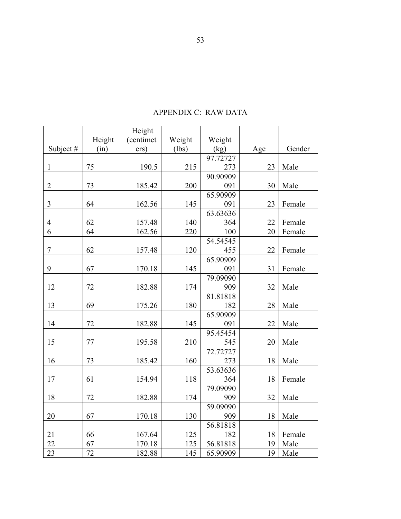|                  |        | Height    |        |          |     |        |
|------------------|--------|-----------|--------|----------|-----|--------|
|                  | Height | (centimet | Weight | Weight   |     |        |
| Subject #        | (in)   | ers)      | (lbs)  | (kg)     | Age | Gender |
|                  |        |           |        | 97.72727 |     |        |
| $\mathbf{1}$     | 75     | 190.5     | 215    | 273      | 23  | Male   |
|                  |        |           |        | 90.90909 |     |        |
| $\overline{2}$   | 73     | 185.42    | 200    | 091      | 30  | Male   |
|                  |        |           |        | 65.90909 |     |        |
| $\overline{3}$   | 64     | 162.56    | 145    | 091      | 23  | Female |
|                  |        |           |        | 63.63636 |     |        |
| $\overline{4}$   | 62     | 157.48    | 140    | 364      | 22  | Female |
| $\overline{6}$   | 64     | 162.56    | 220    | 100      | 20  | Female |
|                  |        |           |        | 54.54545 |     |        |
| $\boldsymbol{7}$ | 62     | 157.48    | 120    | 455      | 22  | Female |
|                  |        |           |        | 65.90909 |     |        |
| 9                | 67     | 170.18    | 145    | 091      | 31  | Female |
|                  |        |           |        | 79.09090 |     |        |
| 12               | 72     | 182.88    | 174    | 909      | 32  | Male   |
|                  |        |           |        | 81.81818 |     |        |
| 13               | 69     | 175.26    | 180    | 182      | 28  | Male   |
|                  |        |           |        | 65.90909 |     |        |
| 14               | 72     | 182.88    | 145    | 091      | 22  | Male   |
|                  |        |           |        | 95.45454 |     |        |
| 15               | 77     | 195.58    | 210    | 545      | 20  | Male   |
|                  |        |           |        | 72.72727 |     |        |
| 16               | 73     | 185.42    | 160    | 273      | 18  | Male   |
|                  |        |           |        | 53.63636 |     |        |
| 17               | 61     | 154.94    | 118    | 364      | 18  | Female |
|                  |        |           |        | 79.09090 |     |        |
| 18               | 72     | 182.88    | 174    | 909      | 32  | Male   |
|                  |        |           |        | 59.09090 |     |        |
| 20               | 67     | 170.18    | 130    | 909      | 18  | Male   |
|                  |        |           |        | 56.81818 |     |        |
| 21               | 66     | 167.64    | 125    | 182      | 18  | Female |
| 22               | 67     | 170.18    | 125    | 56.81818 | 19  | Male   |
| 23               | 72     | 182.88    | 145    | 65.90909 | 19  | Male   |

# APPENDIX C: RAW DATA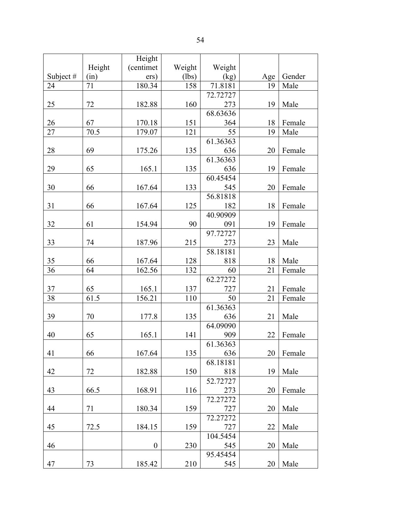|             |        | Height           |        |          |     |        |
|-------------|--------|------------------|--------|----------|-----|--------|
|             | Height | (centimet        | Weight | Weight   |     |        |
| Subject $#$ | (in)   | ers)             | (lbs)  | (kg)     | Age | Gender |
| 24          | 71     | 180.34           | 158    | 71.8181  | 19  | Male   |
|             |        |                  |        | 72.72727 |     |        |
| 25          | 72     | 182.88           | 160    | 273      | 19  | Male   |
|             |        |                  |        | 68.63636 |     |        |
| 26          | 67     | 170.18           | 151    | 364      | 18  | Female |
| 27          | 70.5   | 179.07           | 121    | 55       | 19  | Male   |
|             |        |                  |        | 61.36363 |     |        |
| 28          | 69     | 175.26           | 135    | 636      | 20  | Female |
|             |        |                  |        | 61.36363 |     |        |
| 29          | 65     | 165.1            | 135    | 636      | 19  | Female |
|             |        |                  |        | 60.45454 |     |        |
| 30          | 66     | 167.64           | 133    | 545      | 20  | Female |
|             |        |                  |        | 56.81818 |     |        |
| 31          | 66     | 167.64           | 125    | 182      | 18  | Female |
|             |        |                  |        | 40.90909 |     |        |
| 32          | 61     | 154.94           | 90     | 091      | 19  | Female |
|             |        |                  |        | 97.72727 |     |        |
| 33          | 74     | 187.96           | 215    | 273      | 23  | Male   |
|             |        |                  |        | 58.18181 |     |        |
| 35          | 66     | 167.64           | 128    | 818      | 18  | Male   |
| 36          | 64     | 162.56           | 132    | 60       | 21  | Female |
|             |        |                  |        | 62.27272 |     |        |
| 37          | 65     | 165.1            | 137    | 727      | 21  | Female |
| 38          | 61.5   | 156.21           | 110    | 50       | 21  | Female |
|             |        |                  |        | 61.36363 |     |        |
| 39          | 70     | 177.8            | 135    | 636      | 21  | Male   |
|             |        |                  |        | 64.09090 |     |        |
| 40          | 65     | 165.1            | 141    | 909      | 22  | Female |
|             |        |                  |        | 61.36363 |     |        |
| 41          | 66     | 167.64           | 135    | 636      | 20  | Female |
|             |        |                  |        | 68.18181 |     |        |
| 42          | 72     | 182.88           | 150    | 818      | 19  | Male   |
|             |        |                  |        | 52.72727 |     |        |
| 43          | 66.5   | 168.91           | 116    | 273      | 20  | Female |
|             |        |                  |        | 72.27272 |     |        |
| 44          | 71     | 180.34           | 159    | 727      | 20  | Male   |
|             |        |                  |        | 72.27272 |     |        |
| 45          | 72.5   | 184.15           | 159    | 727      | 22  | Male   |
|             |        |                  |        | 104.5454 |     |        |
| 46          |        | $\boldsymbol{0}$ | 230    | 545      | 20  | Male   |
|             |        |                  |        | 95.45454 |     |        |
| 47          | 73     | 185.42           | 210    | 545      | 20  | Male   |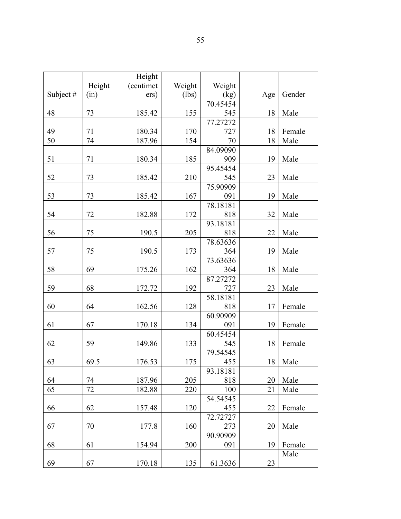| Height<br>(centimet<br>Weight<br>Weight<br>Subject#<br>Gender<br>(lbs)<br>(kg)<br>(in)<br>ers)<br>Age<br>70.45454<br>48<br>73<br>155<br>545<br>Male<br>185.42<br>18<br>77.27272<br>49<br>71<br>170<br>727<br>180.34<br>18<br>Female<br>50<br>74<br>18<br>187.96<br>154<br>70<br>Male<br>84.09090<br>185<br>51<br>71<br>909<br>Male<br>180.34<br>19<br>95.45454<br>52<br>73<br>210<br>Male<br>185.42<br>545<br>23<br>75.90909<br>53<br>73<br>167<br>19<br>Male<br>185.42<br>091<br>78.18181<br>54<br>72<br>172<br>32<br>Male<br>182.88<br>818<br>93.18181<br>56<br>75<br>205<br>190.5<br>818<br>22<br>Male<br>78.63636<br>57<br>75<br>190.5<br>173<br>19<br>Male<br>364<br>73.63636<br>58<br>69<br>162<br>18<br>Male<br>175.26<br>364<br>87.27272<br>59<br>68<br>192<br>Male<br>172.72<br>727<br>23<br>58.18181<br>128<br>60<br>64<br>162.56<br>818<br>17<br>Female<br>60.90909<br>134<br>61<br>67<br>091<br>19<br>170.18<br>Female<br>60.45454<br>62<br>59<br>133<br>149.86<br>18<br>Female<br>545<br>79.54545<br>69.5<br>175<br>63<br>176.53<br>455<br>18<br>Male<br>93.18181<br>205<br>64<br>74<br>20<br>Male<br>818<br>187.96<br>65<br>72<br>21<br>182.88<br>220<br>100<br>Male<br>54.54545<br>66<br>62<br>120<br>22<br>Female<br>157.48<br>455<br>72.72727<br>160<br>273<br>70<br>177.8<br>20<br>Male<br>67 |  | Height |  |  |
|-----------------------------------------------------------------------------------------------------------------------------------------------------------------------------------------------------------------------------------------------------------------------------------------------------------------------------------------------------------------------------------------------------------------------------------------------------------------------------------------------------------------------------------------------------------------------------------------------------------------------------------------------------------------------------------------------------------------------------------------------------------------------------------------------------------------------------------------------------------------------------------------------------------------------------------------------------------------------------------------------------------------------------------------------------------------------------------------------------------------------------------------------------------------------------------------------------------------------------------------------------------------------------------------------------------------|--|--------|--|--|
|                                                                                                                                                                                                                                                                                                                                                                                                                                                                                                                                                                                                                                                                                                                                                                                                                                                                                                                                                                                                                                                                                                                                                                                                                                                                                                                 |  |        |  |  |
|                                                                                                                                                                                                                                                                                                                                                                                                                                                                                                                                                                                                                                                                                                                                                                                                                                                                                                                                                                                                                                                                                                                                                                                                                                                                                                                 |  |        |  |  |
|                                                                                                                                                                                                                                                                                                                                                                                                                                                                                                                                                                                                                                                                                                                                                                                                                                                                                                                                                                                                                                                                                                                                                                                                                                                                                                                 |  |        |  |  |
|                                                                                                                                                                                                                                                                                                                                                                                                                                                                                                                                                                                                                                                                                                                                                                                                                                                                                                                                                                                                                                                                                                                                                                                                                                                                                                                 |  |        |  |  |
|                                                                                                                                                                                                                                                                                                                                                                                                                                                                                                                                                                                                                                                                                                                                                                                                                                                                                                                                                                                                                                                                                                                                                                                                                                                                                                                 |  |        |  |  |
|                                                                                                                                                                                                                                                                                                                                                                                                                                                                                                                                                                                                                                                                                                                                                                                                                                                                                                                                                                                                                                                                                                                                                                                                                                                                                                                 |  |        |  |  |
|                                                                                                                                                                                                                                                                                                                                                                                                                                                                                                                                                                                                                                                                                                                                                                                                                                                                                                                                                                                                                                                                                                                                                                                                                                                                                                                 |  |        |  |  |
|                                                                                                                                                                                                                                                                                                                                                                                                                                                                                                                                                                                                                                                                                                                                                                                                                                                                                                                                                                                                                                                                                                                                                                                                                                                                                                                 |  |        |  |  |
|                                                                                                                                                                                                                                                                                                                                                                                                                                                                                                                                                                                                                                                                                                                                                                                                                                                                                                                                                                                                                                                                                                                                                                                                                                                                                                                 |  |        |  |  |
|                                                                                                                                                                                                                                                                                                                                                                                                                                                                                                                                                                                                                                                                                                                                                                                                                                                                                                                                                                                                                                                                                                                                                                                                                                                                                                                 |  |        |  |  |
|                                                                                                                                                                                                                                                                                                                                                                                                                                                                                                                                                                                                                                                                                                                                                                                                                                                                                                                                                                                                                                                                                                                                                                                                                                                                                                                 |  |        |  |  |
|                                                                                                                                                                                                                                                                                                                                                                                                                                                                                                                                                                                                                                                                                                                                                                                                                                                                                                                                                                                                                                                                                                                                                                                                                                                                                                                 |  |        |  |  |
|                                                                                                                                                                                                                                                                                                                                                                                                                                                                                                                                                                                                                                                                                                                                                                                                                                                                                                                                                                                                                                                                                                                                                                                                                                                                                                                 |  |        |  |  |
|                                                                                                                                                                                                                                                                                                                                                                                                                                                                                                                                                                                                                                                                                                                                                                                                                                                                                                                                                                                                                                                                                                                                                                                                                                                                                                                 |  |        |  |  |
|                                                                                                                                                                                                                                                                                                                                                                                                                                                                                                                                                                                                                                                                                                                                                                                                                                                                                                                                                                                                                                                                                                                                                                                                                                                                                                                 |  |        |  |  |
|                                                                                                                                                                                                                                                                                                                                                                                                                                                                                                                                                                                                                                                                                                                                                                                                                                                                                                                                                                                                                                                                                                                                                                                                                                                                                                                 |  |        |  |  |
|                                                                                                                                                                                                                                                                                                                                                                                                                                                                                                                                                                                                                                                                                                                                                                                                                                                                                                                                                                                                                                                                                                                                                                                                                                                                                                                 |  |        |  |  |
|                                                                                                                                                                                                                                                                                                                                                                                                                                                                                                                                                                                                                                                                                                                                                                                                                                                                                                                                                                                                                                                                                                                                                                                                                                                                                                                 |  |        |  |  |
|                                                                                                                                                                                                                                                                                                                                                                                                                                                                                                                                                                                                                                                                                                                                                                                                                                                                                                                                                                                                                                                                                                                                                                                                                                                                                                                 |  |        |  |  |
|                                                                                                                                                                                                                                                                                                                                                                                                                                                                                                                                                                                                                                                                                                                                                                                                                                                                                                                                                                                                                                                                                                                                                                                                                                                                                                                 |  |        |  |  |
|                                                                                                                                                                                                                                                                                                                                                                                                                                                                                                                                                                                                                                                                                                                                                                                                                                                                                                                                                                                                                                                                                                                                                                                                                                                                                                                 |  |        |  |  |
|                                                                                                                                                                                                                                                                                                                                                                                                                                                                                                                                                                                                                                                                                                                                                                                                                                                                                                                                                                                                                                                                                                                                                                                                                                                                                                                 |  |        |  |  |
|                                                                                                                                                                                                                                                                                                                                                                                                                                                                                                                                                                                                                                                                                                                                                                                                                                                                                                                                                                                                                                                                                                                                                                                                                                                                                                                 |  |        |  |  |
|                                                                                                                                                                                                                                                                                                                                                                                                                                                                                                                                                                                                                                                                                                                                                                                                                                                                                                                                                                                                                                                                                                                                                                                                                                                                                                                 |  |        |  |  |
|                                                                                                                                                                                                                                                                                                                                                                                                                                                                                                                                                                                                                                                                                                                                                                                                                                                                                                                                                                                                                                                                                                                                                                                                                                                                                                                 |  |        |  |  |
|                                                                                                                                                                                                                                                                                                                                                                                                                                                                                                                                                                                                                                                                                                                                                                                                                                                                                                                                                                                                                                                                                                                                                                                                                                                                                                                 |  |        |  |  |
|                                                                                                                                                                                                                                                                                                                                                                                                                                                                                                                                                                                                                                                                                                                                                                                                                                                                                                                                                                                                                                                                                                                                                                                                                                                                                                                 |  |        |  |  |
|                                                                                                                                                                                                                                                                                                                                                                                                                                                                                                                                                                                                                                                                                                                                                                                                                                                                                                                                                                                                                                                                                                                                                                                                                                                                                                                 |  |        |  |  |
|                                                                                                                                                                                                                                                                                                                                                                                                                                                                                                                                                                                                                                                                                                                                                                                                                                                                                                                                                                                                                                                                                                                                                                                                                                                                                                                 |  |        |  |  |
|                                                                                                                                                                                                                                                                                                                                                                                                                                                                                                                                                                                                                                                                                                                                                                                                                                                                                                                                                                                                                                                                                                                                                                                                                                                                                                                 |  |        |  |  |
|                                                                                                                                                                                                                                                                                                                                                                                                                                                                                                                                                                                                                                                                                                                                                                                                                                                                                                                                                                                                                                                                                                                                                                                                                                                                                                                 |  |        |  |  |
|                                                                                                                                                                                                                                                                                                                                                                                                                                                                                                                                                                                                                                                                                                                                                                                                                                                                                                                                                                                                                                                                                                                                                                                                                                                                                                                 |  |        |  |  |
|                                                                                                                                                                                                                                                                                                                                                                                                                                                                                                                                                                                                                                                                                                                                                                                                                                                                                                                                                                                                                                                                                                                                                                                                                                                                                                                 |  |        |  |  |
|                                                                                                                                                                                                                                                                                                                                                                                                                                                                                                                                                                                                                                                                                                                                                                                                                                                                                                                                                                                                                                                                                                                                                                                                                                                                                                                 |  |        |  |  |
|                                                                                                                                                                                                                                                                                                                                                                                                                                                                                                                                                                                                                                                                                                                                                                                                                                                                                                                                                                                                                                                                                                                                                                                                                                                                                                                 |  |        |  |  |
|                                                                                                                                                                                                                                                                                                                                                                                                                                                                                                                                                                                                                                                                                                                                                                                                                                                                                                                                                                                                                                                                                                                                                                                                                                                                                                                 |  |        |  |  |
|                                                                                                                                                                                                                                                                                                                                                                                                                                                                                                                                                                                                                                                                                                                                                                                                                                                                                                                                                                                                                                                                                                                                                                                                                                                                                                                 |  |        |  |  |
| 90.90909                                                                                                                                                                                                                                                                                                                                                                                                                                                                                                                                                                                                                                                                                                                                                                                                                                                                                                                                                                                                                                                                                                                                                                                                                                                                                                        |  |        |  |  |
| 68<br>200<br>Female<br>61<br>154.94<br>091<br>19                                                                                                                                                                                                                                                                                                                                                                                                                                                                                                                                                                                                                                                                                                                                                                                                                                                                                                                                                                                                                                                                                                                                                                                                                                                                |  |        |  |  |
| Male                                                                                                                                                                                                                                                                                                                                                                                                                                                                                                                                                                                                                                                                                                                                                                                                                                                                                                                                                                                                                                                                                                                                                                                                                                                                                                            |  |        |  |  |
| 67<br>61.3636<br>69<br>170.18<br>135<br>23                                                                                                                                                                                                                                                                                                                                                                                                                                                                                                                                                                                                                                                                                                                                                                                                                                                                                                                                                                                                                                                                                                                                                                                                                                                                      |  |        |  |  |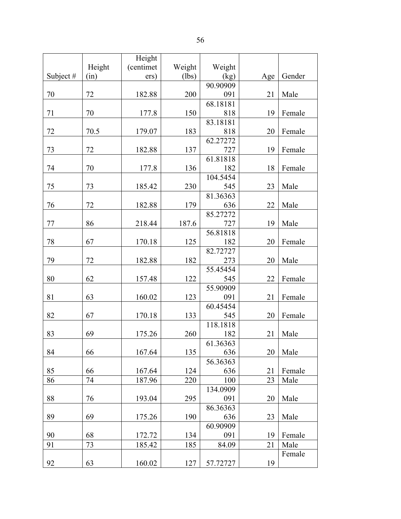|             |        | Height    |        |          |     |        |
|-------------|--------|-----------|--------|----------|-----|--------|
|             | Height | (centimet | Weight | Weight   |     |        |
| Subject $#$ | (in)   | ers)      | (lbs)  | (kg)     | Age | Gender |
|             |        |           |        | 90.90909 |     |        |
| 70          | 72     | 182.88    | 200    | 091      | 21  | Male   |
|             |        |           |        | 68.18181 |     |        |
| 71          | 70     | 177.8     | 150    | 818      | 19  | Female |
|             |        |           |        | 83.18181 |     |        |
| 72          | 70.5   | 179.07    | 183    | 818      | 20  | Female |
|             |        |           |        | 62.27272 |     |        |
| 73          | 72     | 182.88    | 137    | 727      | 19  | Female |
|             |        |           |        | 61.81818 |     |        |
| 74          | 70     | 177.8     | 136    | 182      | 18  | Female |
|             |        |           |        | 104.5454 |     |        |
| 75          | 73     | 185.42    | 230    | 545      | 23  | Male   |
|             |        |           |        | 81.36363 |     |        |
| 76          | 72     | 182.88    | 179    | 636      | 22  | Male   |
|             |        |           |        | 85.27272 |     |        |
| 77          | 86     | 218.44    | 187.6  | 727      | 19  | Male   |
|             |        |           |        | 56.81818 |     |        |
| 78          | 67     | 170.18    | 125    | 182      | 20  | Female |
|             |        |           |        | 82.72727 |     |        |
| 79          | 72     | 182.88    | 182    | 273      | 20  | Male   |
|             |        |           |        | 55.45454 |     |        |
| 80          | 62     | 157.48    | 122    | 545      | 22  | Female |
|             |        |           |        | 55.90909 |     |        |
| 81          | 63     | 160.02    | 123    | 091      | 21  | Female |
|             |        |           |        | 60.45454 |     |        |
| 82          | 67     | 170.18    | 133    | 545      | 20  | Female |
|             |        |           |        | 118.1818 |     |        |
| 83          | 69     | 175.26    | 260    | 182      | 21  | Male   |
|             |        |           |        | 61.36363 |     |        |
| 84          | 66     | 167.64    | 135    | 636      | 20  | Male   |
|             |        |           |        | 56.36363 |     |        |
| 85          | 66     | 167.64    | 124    | 636      | 21  | Female |
| 86          | 74     | 187.96    | 220    | 100      | 23  | Male   |
|             |        |           |        | 134.0909 |     |        |
| 88          | 76     | 193.04    | 295    | 091      | 20  | Male   |
|             |        |           |        | 86.36363 |     |        |
| 89          | 69     | 175.26    | 190    | 636      | 23  | Male   |
|             |        |           |        | 60.90909 |     |        |
| 90          | 68     | 172.72    | 134    | 091      | 19  | Female |
| 91          | 73     | 185.42    | 185    | 84.09    | 21  | Male   |
|             |        |           |        |          |     | Female |
| 92          | 63     | 160.02    | 127    | 57.72727 | 19  |        |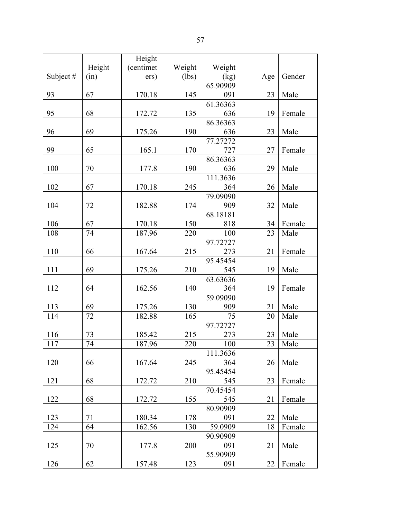|             |        | Height    |        |          |     |        |
|-------------|--------|-----------|--------|----------|-----|--------|
|             | Height | (centimet | Weight | Weight   |     |        |
| Subject $#$ | (in)   | ers)      | (lbs)  | (kg)     | Age | Gender |
|             |        |           |        | 65.90909 |     |        |
| 93          | 67     | 170.18    | 145    | 091      | 23  | Male   |
|             |        |           |        | 61.36363 |     |        |
| 95          | 68     | 172.72    | 135    | 636      | 19  | Female |
|             |        |           |        | 86.36363 |     |        |
| 96          | 69     | 175.26    | 190    | 636      | 23  | Male   |
|             |        |           |        | 77.27272 |     |        |
| 99          | 65     | 165.1     | 170    | 727      | 27  | Female |
|             |        |           |        | 86.36363 |     |        |
| 100         | 70     | 177.8     | 190    | 636      | 29  | Male   |
|             |        |           |        | 111.3636 |     |        |
| 102         | 67     | 170.18    | 245    | 364      | 26  | Male   |
|             |        |           |        | 79.09090 |     |        |
| 104         | 72     | 182.88    | 174    | 909      | 32  | Male   |
|             |        |           |        | 68.18181 |     |        |
| 106         | 67     | 170.18    | 150    | 818      | 34  | Female |
| 108         | 74     | 187.96    | 220    | 100      | 23  | Male   |
|             |        |           |        | 97.72727 |     |        |
| 110         | 66     | 167.64    | 215    | 273      | 21  | Female |
|             |        |           |        | 95.45454 |     |        |
| 111         | 69     | 175.26    | 210    | 545      | 19  | Male   |
|             |        |           |        | 63.63636 |     |        |
| 112         | 64     | 162.56    | 140    | 364      | 19  | Female |
|             |        |           |        | 59.09090 |     |        |
| 113         | 69     | 175.26    | 130    | 909      | 21  | Male   |
| 114         | 72     | 182.88    | 165    | 75       | 20  | Male   |
|             |        |           |        | 97.72727 |     |        |
| 116         | 73     | 185.42    | 215    | 273      | 23  | Male   |
| 117         | 74     | 187.96    | 220    | 100      | 23  | Male   |
|             |        |           |        | 111.3636 |     |        |
| 120         | 66     | 167.64    | 245    | 364      | 26  | Male   |
|             |        |           |        | 95.45454 |     |        |
| 121         | 68     | 172.72    | 210    | 545      | 23  | Female |
|             |        |           |        | 70.45454 |     |        |
| 122         | 68     | 172.72    | 155    | 545      | 21  | Female |
|             |        |           |        | 80.90909 |     |        |
| 123         | 71     | 180.34    | 178    | 091      | 22  | Male   |
| 124         | 64     | 162.56    | 130    | 59.0909  | 18  | Female |
|             |        |           |        | 90.90909 |     |        |
| 125         | 70     | 177.8     | 200    | 091      | 21  | Male   |
|             |        |           |        | 55.90909 |     |        |

091 22 Female

126 | 62 | 157.48 | 123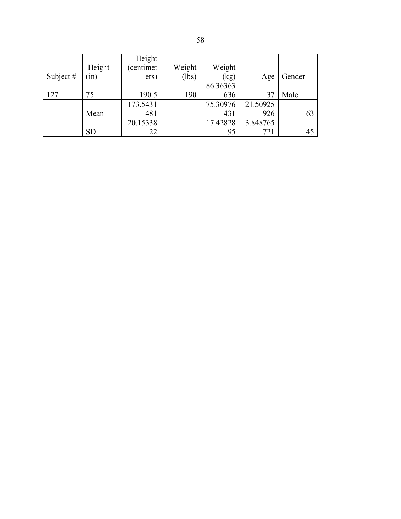|             |           | Height    |        |          |          |        |
|-------------|-----------|-----------|--------|----------|----------|--------|
|             | Height    | (centimet | Weight | Weight   |          |        |
| Subject $#$ | (in)      | ers)      | (lbs)  | (kg)     | Age      | Gender |
|             |           |           |        | 86.36363 |          |        |
| 127         | 75        | 190.5     | 190    | 636      | 37       | Male   |
|             |           | 173.5431  |        | 75.30976 | 21.50925 |        |
|             | Mean      | 481       |        | 431      | 926      | 63     |
|             |           | 20.15338  |        | 17.42828 | 3.848765 |        |
|             | <b>SD</b> | 22        |        | 95       | 721      | 45     |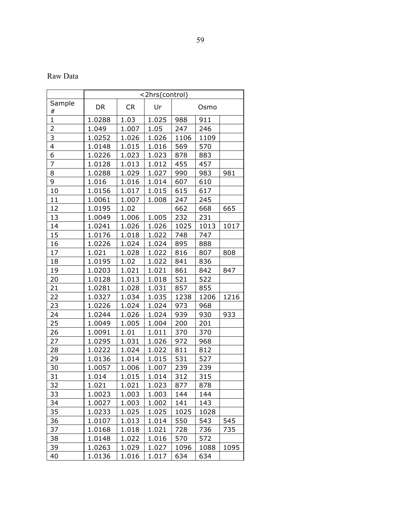Raw Data

|                | <2hrs(control) |           |       |      |      |      |
|----------------|----------------|-----------|-------|------|------|------|
| Sample         | <b>DR</b>      | <b>CR</b> | Ur    |      | Osmo |      |
| #              |                |           |       |      |      |      |
| $\mathbf{1}$   | 1.0288         | 1.03      | 1.025 | 988  | 911  |      |
| $\overline{2}$ | 1.049          | 1.007     | 1.05  | 247  | 246  |      |
| 3              | 1.0252         | 1.026     | 1.026 | 1106 | 1109 |      |
| 4              | 1.0148         | 1.015     | 1.016 | 569  | 570  |      |
| 6              | 1.0226         | 1.023     | 1.023 | 878  | 883  |      |
| $\overline{7}$ | 1.0128         | 1.013     | 1.012 | 455  | 457  |      |
| 8              | 1.0288         | 1.029     | 1.027 | 990  | 983  | 981  |
| 9              | 1.016          | 1.016     | 1.014 | 607  | 610  |      |
| 10             | 1.0156         | 1.017     | 1.015 | 615  | 617  |      |
| 11             | 1.0061         | 1.007     | 1.008 | 247  | 245  |      |
| 12             | 1.0195         | 1.02      |       | 662  | 668  | 665  |
| 13             | 1.0049         | 1.006     | 1.005 | 232  | 231  |      |
| 14             | 1.0241         | 1.026     | 1.026 | 1025 | 1013 | 1017 |
| 15             | 1.0176         | 1.018     | 1.022 | 748  | 747  |      |
| 16             | 1.0226         | 1.024     | 1.024 | 895  | 888  |      |
| 17             | 1.021          | 1.028     | 1.022 | 816  | 807  | 808  |
| 18             | 1.0195         | 1.02      | 1.022 | 841  | 836  |      |
| 19             | 1.0203         | 1.021     | 1.021 | 861  | 842  | 847  |
| 20             | 1.0128         | 1.013     | 1.018 | 521  | 522  |      |
| 21             | 1.0281         | 1.028     | 1.031 | 857  | 855  |      |
| 22             | 1.0327         | 1.034     | 1.035 | 1238 | 1206 | 1216 |
| 23             | 1.0226         | 1.024     | 1.024 | 973  | 968  |      |
| 24             | 1.0244         | 1.026     | 1.024 | 939  | 930  | 933  |
| 25             | 1.0049         | 1.005     | 1.004 | 200  | 201  |      |
| 26             | 1.0091         | 1.01      | 1.011 | 370  | 370  |      |
| 27             | 1.0295         | 1.031     | 1.026 | 972  | 968  |      |
| 28             | 1.0222         | 1.024     | 1.022 | 811  | 812  |      |
| 29             | 1.0136         | 1.014     | 1.015 | 531  | 527  |      |
| 30             | 1.0057         | 1.006     | 1.007 | 239  | 239  |      |
| 31             | 1.014          | 1.015     | 1.014 | 312  | 315  |      |
| 32             | 1.021          | 1.021     | 1.023 | 877  | 878  |      |
| 33             | 1.0023         | 1.003     | 1.003 | 144  | 144  |      |
| 34             | 1.0027         | 1.003     | 1.002 | 141  | 143  |      |
| 35             | 1.0233         | 1.025     | 1.025 | 1025 | 1028 |      |
| 36             | 1.0107         | 1.013     | 1.014 | 550  | 543  | 545  |
| 37             | 1.0168         | 1.018     | 1.021 | 728  | 736  | 735  |
| 38             | 1.0148         | 1.022     | 1.016 | 570  | 572  |      |
| 39             | 1.0263         | 1.029     | 1.027 | 1096 | 1088 | 1095 |
| 40             | 1.0136         | 1.016     | 1.017 | 634  | 634  |      |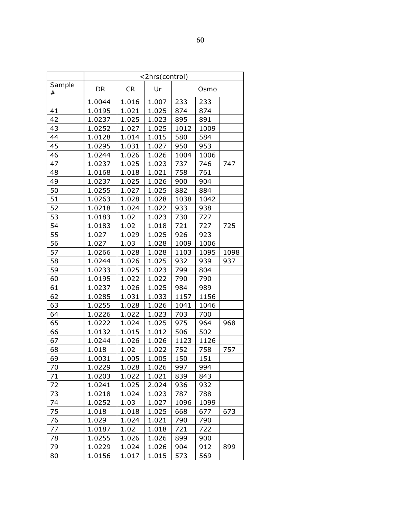|        | <2hrs(control) |           |       |      |      |      |
|--------|----------------|-----------|-------|------|------|------|
| Sample | DR             | <b>CR</b> | Ur    |      | Osmo |      |
| #      |                |           |       |      |      |      |
|        | 1.0044         | 1.016     | 1.007 | 233  | 233  |      |
| 41     | 1.0195         | 1.021     | 1.025 | 874  | 874  |      |
| 42     | 1.0237         | 1.025     | 1.023 | 895  | 891  |      |
| 43     | 1.0252         | 1.027     | 1.025 | 1012 | 1009 |      |
| 44     | 1.0128         | 1.014     | 1.015 | 580  | 584  |      |
| 45     | 1.0295         | 1.031     | 1.027 | 950  | 953  |      |
| 46     | 1.0244         | 1.026     | 1.026 | 1004 | 1006 |      |
| 47     | 1.0237         | 1.025     | 1.023 | 737  | 746  | 747  |
| 48     | 1.0168         | 1.018     | 1.021 | 758  | 761  |      |
| 49     | 1.0237         | 1.025     | 1.026 | 900  | 904  |      |
| 50     | 1.0255         | 1.027     | 1.025 | 882  | 884  |      |
| 51     | 1.0263         | 1.028     | 1.028 | 1038 | 1042 |      |
| 52     | 1.0218         | 1.024     | 1.022 | 933  | 938  |      |
| 53     | 1.0183         | 1.02      | 1.023 | 730  | 727  |      |
| 54     | 1.0183         | 1.02      | 1.018 | 721  | 727  | 725  |
| 55     | 1.027          | 1.029     | 1.025 | 926  | 923  |      |
| 56     | 1.027          | 1.03      | 1.028 | 1009 | 1006 |      |
| 57     | 1.0266         | 1.028     | 1.028 | 1103 | 1095 | 1098 |
| 58     | 1.0244         | 1.026     | 1.025 | 932  | 939  | 937  |
| 59     | 1.0233         | 1.025     | 1.023 | 799  | 804  |      |
| 60     | 1.0195         | 1.022     | 1.022 | 790  | 790  |      |
| 61     | 1.0237         | 1.026     | 1.025 | 984  | 989  |      |
| 62     | 1.0285         | 1.031     | 1.033 | 1157 | 1156 |      |
| 63     | 1.0255         | 1.028     | 1.026 | 1041 | 1046 |      |
| 64     | 1.0226         | 1.022     | 1.023 | 703  | 700  |      |
| 65     | 1.0222         | 1.024     | 1.025 | 975  | 964  | 968  |
| 66     | 1.0132         | 1.015     | 1.012 | 506  | 502  |      |
| 67     | 1.0244         | 1.026     | 1.026 | 1123 | 1126 |      |
| 68     | 1.018          | 1.02      | 1.022 | 752  | 758  | 757  |
| 69     | 1.0031         | 1.005     | 1.005 | 150  | 151  |      |
| 70     | 1.0229         | 1.028     | 1.026 | 997  | 994  |      |
| 71     | 1.0203         | 1.022     | 1.021 | 839  | 843  |      |
| 72     | 1.0241         | 1.025     | 2.024 | 936  | 932  |      |
| 73     | 1.0218         | 1.024     | 1.023 | 787  | 788  |      |
| 74     | 1.0252         | 1.03      | 1.027 | 1096 | 1099 |      |
| 75     | 1.018          | 1.018     | 1.025 | 668  | 677  | 673  |
| 76     | 1.029          | 1.024     | 1.021 | 790  | 790  |      |
| 77     | 1.0187         | 1.02      | 1.018 | 721  | 722  |      |
| 78     | 1.0255         | 1.026     | 1.026 | 899  | 900  |      |
| 79     | 1.0229         | 1.024     | 1.026 | 904  | 912  | 899  |
| 80     | 1.0156         | 1.017     | 1.015 | 573  | 569  |      |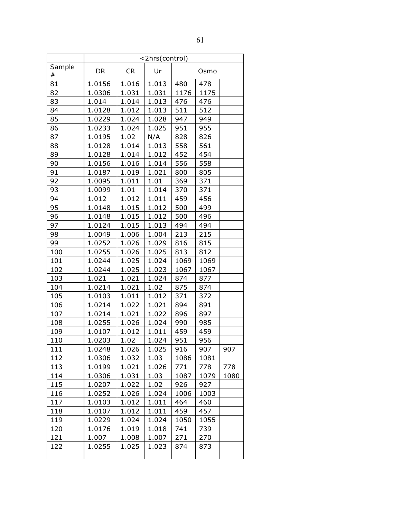|        | <2hrs(control) |           |       |      |      |      |
|--------|----------------|-----------|-------|------|------|------|
| Sample | <b>DR</b>      | <b>CR</b> | Ur    |      | Osmo |      |
| #      |                |           |       |      |      |      |
| 81     | 1.0156         | 1.016     | 1.013 | 480  | 478  |      |
| 82     | 1.0306         | 1.031     | 1.031 | 1176 | 1175 |      |
| 83     | 1.014          | 1.014     | 1.013 | 476  | 476  |      |
| 84     | 1.0128         | 1.012     | 1.013 | 511  | 512  |      |
| 85     | 1.0229         | 1.024     | 1.028 | 947  | 949  |      |
| 86     | 1.0233         | 1.024     | 1.025 | 951  | 955  |      |
| 87     | 1.0195         | 1.02      | N/A   | 828  | 826  |      |
| 88     | 1.0128         | 1.014     | 1.013 | 558  | 561  |      |
| 89     | 1.0128         | 1.014     | 1.012 | 452  | 454  |      |
| 90     | 1.0156         | 1.016     | 1.014 | 556  | 558  |      |
| 91     | 1.0187         | 1.019     | 1.021 | 800  | 805  |      |
| 92     | 1.0095         | 1.011     | 1.01  | 369  | 371  |      |
| 93     | 1.0099         | 1.01      | 1.014 | 370  | 371  |      |
| 94     | 1.012          | 1.012     | 1.011 | 459  | 456  |      |
| 95     | 1.0148         | 1.015     | 1.012 | 500  | 499  |      |
| 96     | 1.0148         | 1.015     | 1.012 | 500  | 496  |      |
| 97     | 1.0124         | 1.015     | 1.013 | 494  | 494  |      |
| 98     | 1.0049         | 1.006     | 1.004 | 213  | 215  |      |
| 99     | 1.0252         | 1.026     | 1.029 | 816  | 815  |      |
| 100    | 1.0255         | 1.026     | 1.025 | 813  | 812  |      |
| 101    | 1.0244         | 1.025     | 1.024 | 1069 | 1069 |      |
| 102    | 1.0244         | 1.025     | 1.023 | 1067 | 1067 |      |
| 103    | 1.021          | 1.021     | 1.024 | 874  | 877  |      |
| 104    | 1.0214         | 1.021     | 1.02  | 875  | 874  |      |
| 105    | 1.0103         | 1.011     | 1.012 | 371  | 372  |      |
| 106    | 1.0214         | 1.022     | 1.021 | 894  | 891  |      |
| 107    | 1.0214         | 1.021     | 1.022 | 896  | 897  |      |
| 108    | 1.0255         | 1.026     | 1.024 | 990  | 985  |      |
| 109    | 1.0107         | 1.012     | 1.011 | 459  | 459  |      |
| 110    | 1.0203         | 1.02      | 1.024 | 951  | 956  |      |
| 111    | 1.0248         | 1.026     | 1.025 | 916  | 907  | 907  |
| 112    | 1.0306         | 1.032     | 1.03  | 1086 | 1081 |      |
| 113    | 1.0199         | 1.021     | 1.026 | 771  | 778  | 778  |
| 114    | 1.0306         | 1.031     | 1.03  | 1087 | 1079 | 1080 |
| 115    | 1.0207         | 1.022     | 1.02  | 926  | 927  |      |
| 116    | 1.0252         | 1.026     | 1.024 | 1006 | 1003 |      |
| 117    | 1.0103         | 1.012     | 1.011 | 464  | 460  |      |
| 118    | 1.0107         | 1.012     | 1.011 | 459  | 457  |      |
| 119    | 1.0229         | 1.024     | 1.024 | 1050 | 1055 |      |
| 120    | 1.0176         | 1.019     | 1.018 | 741  | 739  |      |
| 121    | 1.007          | 1.008     | 1.007 | 271  | 270  |      |
| 122    | 1.0255         | 1.025     | 1.023 | 874  | 873  |      |
|        |                |           |       |      |      |      |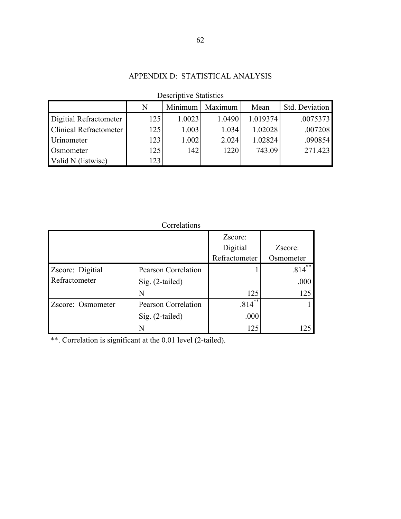# APPENDIX D: STATISTICAL ANALYSIS

| DUSVILUUVU DUULSUUS           |     |         |         |          |                |
|-------------------------------|-----|---------|---------|----------|----------------|
|                               | N   | Minimum | Maximum | Mean     | Std. Deviation |
| Digitial Refractometer        | 125 | 1.0023  | 1.0490  | 1.019374 | .0075373       |
| <b>Clinical Refractometer</b> | 125 | 1.003   | 1.034   | 1.02028  | .007208        |
| Urinometer                    | 123 | 1.002   | 2.024   | 1.02824  | .090854        |
| Osmometer                     | 125 | 142     | 1220    | 743.09   | 271.423        |
| Valid N (listwise)            | 123 |         |         |          |                |

# Descriptive Statistics

|                   | Correlations        |                              |            |
|-------------------|---------------------|------------------------------|------------|
|                   |                     | Zscore:                      |            |
|                   |                     | Digitial                     | Zscore:    |
|                   |                     | Refractometer                | Osmometer  |
| Zscore: Digitial  | Pearson Correlation |                              | **<br>.814 |
| Refractometer     | $Sig. (2-tailed)$   |                              | .000       |
|                   | N                   | 125                          | 125        |
| Zscore: Osmometer | Pearson Correlation | $***$<br>$.814$ <sup>2</sup> |            |
|                   | $Sig. (2-tailed)$   | .000                         |            |
|                   |                     | 125                          |            |

\*\*. Correlation is significant at the 0.01 level (2-tailed).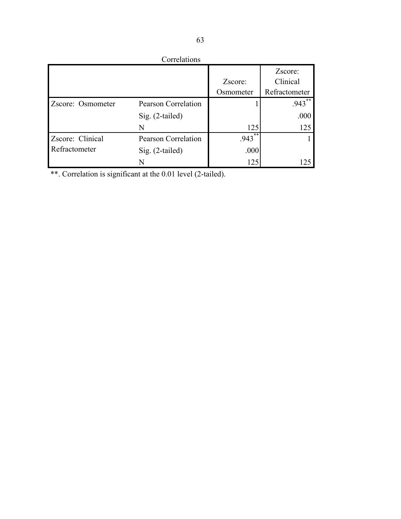| Correlations      |                            |            |               |
|-------------------|----------------------------|------------|---------------|
|                   |                            |            | Zscore:       |
|                   |                            | Zscore:    | Clinical      |
|                   |                            | Osmometer  | Refractometer |
| Zscore: Osmometer | <b>Pearson Correlation</b> |            | $**$<br>.943  |
|                   | Sig. (2-tailed)            |            | .000          |
|                   | N                          | 125        | 125           |
| Zscore: Clinical  | <b>Pearson Correlation</b> | **<br>.943 |               |
| Refractometer     | $Sig. (2-tailed)$          | .000       |               |
|                   | N                          | 125        | $2^{\circ}$   |

\*\*. Correlation is significant at the 0.01 level (2-tailed).